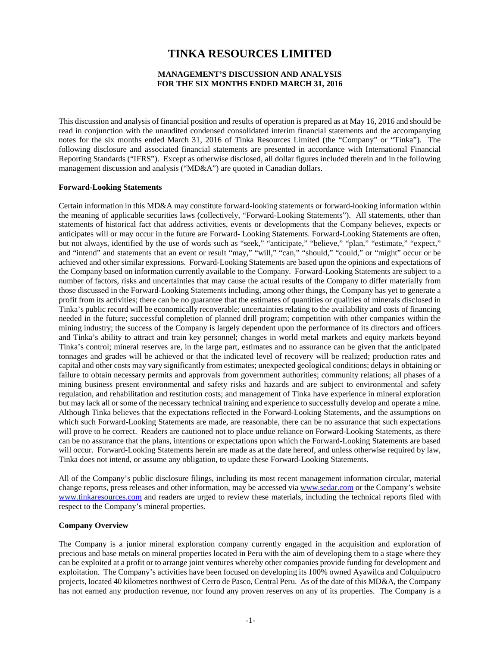# **TINKA RESOURCES LIMITED**

# **MANAGEMENT'S DISCUSSION AND ANALYSIS FOR THE SIX MONTHS ENDED MARCH 31, 2016**

This discussion and analysis of financial position and results of operation is prepared as at May 16, 2016 and should be read in conjunction with the unaudited condensed consolidated interim financial statements and the accompanying notes for the six months ended March 31, 2016 of Tinka Resources Limited (the "Company" or "Tinka"). The following disclosure and associated financial statements are presented in accordance with International Financial Reporting Standards ("IFRS"). Except as otherwise disclosed, all dollar figures included therein and in the following management discussion and analysis ("MD&A") are quoted in Canadian dollars.

## **Forward-Looking Statements**

Certain information in this MD&A may constitute forward-looking statements or forward-looking information within the meaning of applicable securities laws (collectively, "Forward-Looking Statements"). All statements, other than statements of historical fact that address activities, events or developments that the Company believes, expects or anticipates will or may occur in the future are Forward- Looking Statements. Forward-Looking Statements are often, but not always, identified by the use of words such as "seek," "anticipate," "believe," "plan," "estimate," "expect," and "intend" and statements that an event or result "may," "will," "can," "should," "could," or "might" occur or be achieved and other similar expressions. Forward-Looking Statements are based upon the opinions and expectations of the Company based on information currently available to the Company. Forward-Looking Statements are subject to a number of factors, risks and uncertainties that may cause the actual results of the Company to differ materially from those discussed in the Forward-Looking Statements including, among other things, the Company has yet to generate a profit from its activities; there can be no guarantee that the estimates of quantities or qualities of minerals disclosed in Tinka's public record will be economically recoverable; uncertainties relating to the availability and costs of financing needed in the future; successful completion of planned drill program; competition with other companies within the mining industry; the success of the Company is largely dependent upon the performance of its directors and officers and Tinka's ability to attract and train key personnel; changes in world metal markets and equity markets beyond Tinka's control; mineral reserves are, in the large part, estimates and no assurance can be given that the anticipated tonnages and grades will be achieved or that the indicated level of recovery will be realized; production rates and capital and other costs may vary significantly from estimates; unexpected geological conditions; delays in obtaining or failure to obtain necessary permits and approvals from government authorities; community relations; all phases of a mining business present environmental and safety risks and hazards and are subject to environmental and safety regulation, and rehabilitation and restitution costs; and management of Tinka have experience in mineral exploration but may lack all or some of the necessary technical training and experience to successfully develop and operate a mine. Although Tinka believes that the expectations reflected in the Forward-Looking Statements, and the assumptions on which such Forward-Looking Statements are made, are reasonable, there can be no assurance that such expectations will prove to be correct. Readers are cautioned not to place undue reliance on Forward-Looking Statements, as there can be no assurance that the plans, intentions or expectations upon which the Forward-Looking Statements are based will occur. Forward-Looking Statements herein are made as at the date hereof, and unless otherwise required by law, Tinka does not intend, or assume any obligation, to update these Forward-Looking Statements.

All of the Company's public disclosure filings, including its most recent management information circular, material change reports, press releases and other information, may be accessed via [www.sedar.com](http://www.sedar.com/) or the Company's website [www.tinkaresources.com](http://www.tinkaresources.com/) and readers are urged to review these materials, including the technical reports filed with respect to the Company's mineral properties.

## **Company Overview**

The Company is a junior mineral exploration company currently engaged in the acquisition and exploration of precious and base metals on mineral properties located in Peru with the aim of developing them to a stage where they can be exploited at a profit or to arrange joint ventures whereby other companies provide funding for development and exploitation. The Company's activities have been focused on developing its 100% owned Ayawilca and Colquipucro projects, located 40 kilometres northwest of Cerro de Pasco, Central Peru. As of the date of this MD&A, the Company has not earned any production revenue, nor found any proven reserves on any of its properties. The Company is a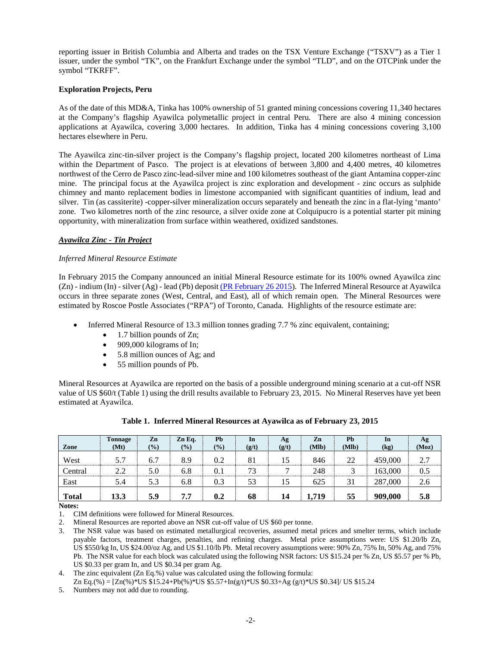reporting issuer in British Columbia and Alberta and trades on the TSX Venture Exchange ("TSXV") as a Tier 1 issuer, under the symbol "TK", on the Frankfurt Exchange under the symbol "TLD", and on the OTCPink under the symbol "TKRFF".

# **Exploration Projects, Peru**

As of the date of this MD&A, Tinka has 100% ownership of 51 granted mining concessions covering 11,340 hectares at the Company's flagship Ayawilca polymetallic project in central Peru. There are also 4 mining concession applications at Ayawilca, covering 3,000 hectares. In addition, Tinka has 4 mining concessions covering 3,100 hectares elsewhere in Peru.

The Ayawilca zinc-tin-silver project is the Company's flagship project, located 200 kilometres northeast of Lima within the Department of Pasco. The project is at elevations of between 3,800 and 4,400 metres, 40 kilometres northwest of the Cerro de Pasco zinc-lead-silver mine and 100 kilometres southeast of the giant Antamina copper-zinc mine. The principal focus at the Ayawilca project is zinc exploration and development - zinc occurs as sulphide chimney and manto replacement bodies in limestone accompanied with significant quantities of indium, lead and silver. Tin (as cassiterite) -copper-silver mineralization occurs separately and beneath the zinc in a flat-lying 'manto' zone. Two kilometres north of the zinc resource, a silver oxide zone at Colquipucro is a potential starter pit mining opportunity, with mineralization from surface within weathered, oxidized sandstones.

## *Ayawilca Zinc - Tin Project*

## *Inferred Mineral Resource Estimate*

In February 2015 the Company announced an initial Mineral Resource estimate for its 100% owned Ayawilca zinc (Zn) - indium (In) - silver (Ag) - lead (Pb) deposi[t \(PR February 26 2015\)](http://www.tinkaresources.com/news/00-00-tinka-announces-initial-inferred-zinc-resource-of-13-3-million-tonnes-grading-7-697874). The Inferred Mineral Resource at Ayawilca occurs in three separate zones (West, Central, and East), all of which remain open. The Mineral Resources were estimated by Roscoe Postle Associates ("RPA") of Toronto, Canada. Highlights of the resource estimate are:

- Inferred Mineral Resource of 13.3 million tonnes grading 7.7 % zinc equivalent, containing;
	- 1.7 billion pounds of Zn;
	- 909,000 kilograms of In;
	- 5.8 million ounces of Ag; and
	- 55 million pounds of Pb.

Mineral Resources at Ayawilca are reported on the basis of a possible underground mining scenario at a cut-off NSR value of US \$60/t (Table 1) using the drill results available to February 23, 2015. No Mineral Reserves have yet been estimated at Ayawilca.

| Zone         | Tonnage | Zn    | Zn Eq. | Pb     | In    | Ag    | Zn<br>(Mlb) | Pb<br>(Mlb) | In      | Ag    |
|--------------|---------|-------|--------|--------|-------|-------|-------------|-------------|---------|-------|
|              | (Mt)    | (9/0) | $(\%)$ | $(\%)$ | (g/t) | (g/t) |             |             | (kg)    | (Moz) |
| West         | 5.7     | 6.7   | 8.9    | 0.2    | 81    | 15    | 846         | 22          | 459,000 | 2.7   |
| Central      | 2.2     | 5.0   | 6.8    | 0.1    | 73    |       | 248         |             | 163.000 | 0.5   |
| East         | 5.4     | 5.3   | 6.8    | 0.3    | 53    | 15    | 625         | 31          | 287,000 | 2.6   |
| <b>Total</b> | 13.3    | 5.9   | 7.7    | 0.2    | 68    | 14    | 1,719       | 55          | 909,000 | 5.8   |

**Table 1. Inferred Mineral Resources at Ayawilca as of February 23, 2015**

**Notes:**

1. CIM definitions were followed for Mineral Resources.

2. Mineral Resources are reported above an NSR cut-off value of US \$60 per tonne.

3. The NSR value was based on estimated metallurgical recoveries, assumed metal prices and smelter terms, which include payable factors, treatment charges, penalties, and refining charges. Metal price assumptions were: US \$1.20/lb Zn, US \$550/kg In, US \$24.00/oz Ag, and US \$1.10/lb Pb. Metal recovery assumptions were: 90% Zn, 75% In, 50% Ag, and 75% Pb. The NSR value for each block was calculated using the following NSR factors: US \$15.24 per % Zn, US \$5.57 per % Pb, US \$0.33 per gram In, and US \$0.34 per gram Ag.

4. The zinc equivalent (Zn Eq.%) value was calculated using the following formula:

Zn Eq.(%) =  $[Zn(\%)$ \*US \$15.24+Pb(%)\*US \$5.57+In(g/t)\*US \$0.33+Ag (g/t)\*US \$0.34|/ US \$15.24

5. Numbers may not add due to rounding.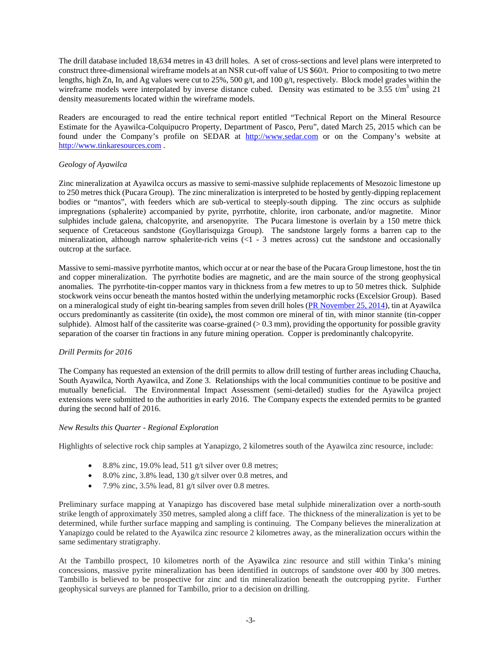The drill database included 18,634 metres in 43 drill holes. A set of cross-sections and level plans were interpreted to construct three-dimensional wireframe models at an NSR cut-off value of US \$60/t. Prior to compositing to two metre lengths, high Zn, In, and Ag values were cut to 25%, 500 g/t, and 100 g/t, respectively. Block model grades within the wireframe models were interpolated by inverse distance cubed. Density was estimated to be 3.55  $t/m<sup>3</sup>$  using 21 density measurements located within the wireframe models.

Readers are encouraged to read the entire technical report entitled "Technical Report on the Mineral Resource Estimate for the Ayawilca-Colquipucro Property, Department of Pasco, Peru", dated March 25, 2015 which can be found under the Company's profile on SEDAR at [http://www.sedar.com](http://www.sedar.com/) or on the Company's website at [http://www.tinkaresources.com](http://www.tinkaresources.com/) .

## *Geology of Ayawilca*

Zinc mineralization at Ayawilca occurs as massive to semi-massive sulphide replacements of Mesozoic limestone up to 250 metres thick (Pucara Group). The zinc mineralization is interpreted to be hosted by gently-dipping replacement bodies or "mantos", with feeders which are sub-vertical to steeply-south dipping. The zinc occurs as sulphide impregnations (sphalerite) accompanied by pyrite, pyrrhotite, chlorite, iron carbonate, and/or magnetite. Minor sulphides include galena, chalcopyrite, and arsenopyrite. The Pucara limestone is overlain by a 150 metre thick sequence of Cretaceous sandstone (Goyllarisquizga Group). The sandstone largely forms a barren cap to the mineralization, although narrow sphalerite-rich veins (<1 - 3 metres across) cut the sandstone and occasionally outcrop at the surface.

Massive to semi-massive pyrrhotite mantos, which occur at or near the base of the Pucara Group limestone, host the tin and copper mineralization. The pyrrhotite bodies are magnetic, and are the main source of the strong geophysical anomalies. The pyrrhotite-tin-copper mantos vary in thickness from a few metres to up to 50 metres thick. Sulphide stockwork veins occur beneath the mantos hosted within the underlying metamorphic rocks (Excelsior Group). Based on a mineralogical study of eight tin-bearing samples from seven drill holes [\(PR November 25, 2014\)](http://www.tinkaresources.com/news/00-00-tinka-discovers-tin-copper-mineralization-beneath-high-grade-zinc-at-ayawilca-685156), tin at Ayawilca occurs predominantly as cassiterite (tin oxide)**,** the most common ore mineral of tin, with minor stannite (tin-copper sulphide). Almost half of the cassiterite was coarse-grained ( $> 0.3$  mm), providing the opportunity for possible gravity separation of the coarser tin fractions in any future mining operation. Copper is predominantly chalcopyrite.

# *Drill Permits for 2016*

The Company has requested an extension of the drill permits to allow drill testing of further areas including Chaucha, South Ayawilca, North Ayawilca, and Zone 3. Relationships with the local communities continue to be positive and mutually beneficial. The Environmental Impact Assessment (semi-detailed) studies for the Ayawilca project extensions were submitted to the authorities in early 2016. The Company expects the extended permits to be granted during the second half of 2016.

## *New Results this Quarter - Regional Exploration*

Highlights of selective rock chip samples at Yanapizgo, 2 kilometres south of the Ayawilca zinc resource, include:

- 8.8% zinc, 19.0% lead, 511 g/t silver over 0.8 metres;
- 8.0% zinc, 3.8% lead, 130 g/t silver over 0.8 metres, and
- 7.9% zinc,  $3.5\%$  lead,  $81$  g/t silver over 0.8 metres.

Preliminary surface mapping at Yanapizgo has discovered base metal sulphide mineralization over a north-south strike length of approximately 350 metres, sampled along a cliff face. The thickness of the mineralization is yet to be determined, while further surface mapping and sampling is continuing. The Company believes the mineralization at Yanapizgo could be related to the Ayawilca zinc resource 2 kilometres away, as the mineralization occurs within the same sedimentary stratigraphy.

At the Tambillo prospect, 10 kilometres north of the Ayawilca zinc resource and still within Tinka's mining concessions, massive pyrite mineralization has been identified in outcrops of sandstone over 400 by 300 metres. Tambillo is believed to be prospective for zinc and tin mineralization beneath the outcropping pyrite. Further geophysical surveys are planned for Tambillo, prior to a decision on drilling.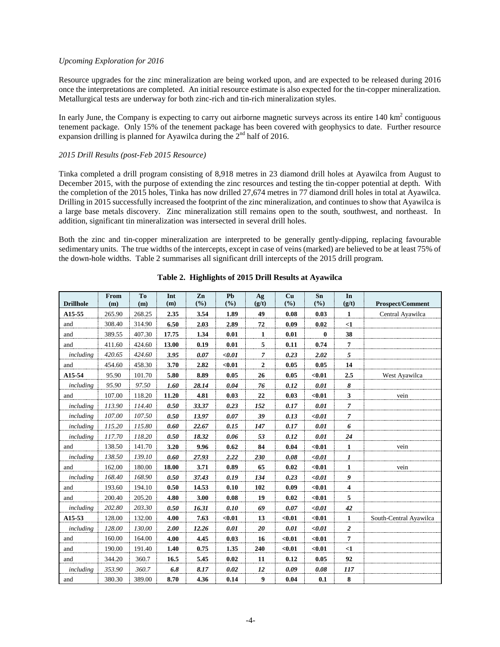## *Upcoming Exploration for 2016*

Resource upgrades for the zinc mineralization are being worked upon, and are expected to be released during 2016 once the interpretations are completed. An initial resource estimate is also expected for the tin-copper mineralization. Metallurgical tests are underway for both zinc-rich and tin-rich mineralization styles.

In early June, the Company is expecting to carry out airborne magnetic surveys across its entire  $140 \text{ km}^2$  contiguous tenement package. Only 15% of the tenement package has been covered with geophysics to date. Further resource expansion drilling is planned for Ayawilca during the  $2<sup>nd</sup>$  half of 2016.

## *2015 Drill Results (post-Feb 2015 Resource)*

Tinka completed a drill program consisting of 8,918 metres in 23 diamond drill holes at Ayawilca from August to December 2015, with the purpose of extending the zinc resources and testing the tin-copper potential at depth. With the completion of the 2015 holes, Tinka has now drilled 27,674 metres in 77 diamond drill holes in total at Ayawilca. Drilling in 2015 successfully increased the footprint of the zinc mineralization, and continues to show that Ayawilca is a large base metals discovery. Zinc mineralization still remains open to the south, southwest, and northeast. In addition, significant tin mineralization was intersected in several drill holes.

Both the zinc and tin-copper mineralization are interpreted to be generally gently-dipping, replacing favourable sedimentary units. The true widths of the intercepts, except in case of veins (marked) are believed to be at least 75% of the down-hole widths. Table 2 summarises all significant drill intercepts of the 2015 drill program.

| <b>Drillhole</b> | From<br>(m) | T <sub>0</sub><br>(m) | Int<br>(m) | Zn<br>(%) | Pb<br>$(\%)$ | Ag<br>(g/t)      | Cu<br>(%) | Sn<br>(%) | In<br>(g/t)      | <b>Prospect/Comment</b> |
|------------------|-------------|-----------------------|------------|-----------|--------------|------------------|-----------|-----------|------------------|-------------------------|
| A15-55           | 265.90      | 268.25                | 2.35       | 3.54      | 1.89         | 49               | 0.08      | 0.03      | 1                | Central Ayawilca        |
| and              | 308.40      | 314.90                | 6.50       | 2.03      | 2.89         | 72               | 0.09      | 0.02      | $\leq 1$         |                         |
| and              | 389.55      | 407.30                | 17.75      | 1.34      | 0.01         | 1                | 0.01      | $\bf{0}$  | 38               |                         |
| and              | 411.60      | 424.60                | 13.00      | 0.19      | 0.01         | 5                | 0.11      | 0.74      | 7                |                         |
| including        | 420.65      | 424.60                | 3.95       | 0.07      | $0.01$       | $\overline{7}$   | 0.23      | 2.02      | 5                |                         |
| and              | 454.60      | 458.30                | 3.70       | 2.82      | $0.01$       | $\boldsymbol{2}$ | 0.05      | 0.05      | 14               |                         |
| A15-54           | 95.90       | 101.70                | 5.80       | 8.89      | 0.05         | 26               | 0.05      | $0.01$    | 2.5              | West Ayawilca           |
| including        | 95.90       | 97.50                 | 1.60       | 28.14     | 0.04         | 76               | 0.12      | 0.01      | 8                |                         |
| and              | 107.00      | 118.20                | 11.20      | 4.81      | 0.03         | 22               | 0.03      | $0.01$    | $\mathbf{3}$     | vein                    |
| including        | 113.90      | 114.40                | 0.50       | 33.37     | 0.23         | 152              | 0.17      | 0.01      | $\overline{7}$   |                         |
| including        | 107.00      | 107.50                | 0.50       | 13.97     | 0.07         | 39               | 0.13      | $0.01$    | $\mathcal{I}$    |                         |
| including        | 115.20      | 115.80                | 0.60       | 22.67     | 0.15         | 147              | 0.17      | 0.01      | 6                |                         |
| including        | 117.70      | 118.20                | 0.50       | 18.32     | 0.06         | 53               | 0.12      | 0.01      | 24               |                         |
| and              | 138.50      | 141.70                | 3.20       | 9.96      | 0.62         | 84               | 0.04      | < 0.01    | $\mathbf{1}$     | vein                    |
| including        | 138.50      | 139.10                | 0.60       | 27.93     | 2.22         | 230              | 0.08      | $0.01$    | $\boldsymbol{I}$ |                         |
| and              | 162.00      | 180.00                | 18.00      | 3.71      | 0.89         | 65               | 0.02      | $0.01$    | $\mathbf{1}$     | vein                    |
| including        | 168.40      | 168.90                | 0.50       | 37.43     | 0.19         | 134              | 0.23      | $0.01$    | 9                |                         |
| and              | 193.60      | 194.10                | 0.50       | 14.53     | 0.10         | 102              | 0.09      | $0.01$    | $\overline{4}$   |                         |
| and              | 200.40      | 205.20                | 4.80       | 3.00      | 0.08         | 19               | 0.02      | $0.01$    | 5                |                         |
| including        | 202.80      | 203.30                | 0.50       | 16.31     | 0.10         | 69               | 0.07      | $0.01$    | 42               |                         |
| A15-53           | 128.00      | 132.00                | 4.00       | 7.63      | $0.01$       | 13               | $0.01$    | $0.01$    | $\mathbf{1}$     | South-Central Ayawilca  |
| including        | 128.00      | 130.00                | 2.00       | 12.26     | 0.01         | 20               | 0.01      | $0.01$    | $\overline{2}$   |                         |
| and              | 160.00      | 164.00                | 4.00       | 4.45      | 0.03         | 16               | $0.01$    | $0.01$    | $\overline{7}$   |                         |
| and              | 190.00      | 191.40                | 1.40       | 0.75      | 1.35         | 240              | $0.01$    | $0.01$    | $\leq$ 1         |                         |
| and              | 344.20      | 360.7                 | 16.5       | 5.45      | 0.02         | 11               | 0.12      | 0.05      | 92               |                         |
| including        | 353.90      | 360.7                 | 6.8        | 8.17      | 0.02         | 12               | 0.09      | 0.08      | 117              |                         |
| and              | 380.30      | 389.00                | 8.70       | 4.36      | 0.14         | 9                | 0.04      | 0.1       | 8                |                         |

# **Table 2. Highlights of 2015 Drill Results at Ayawilca**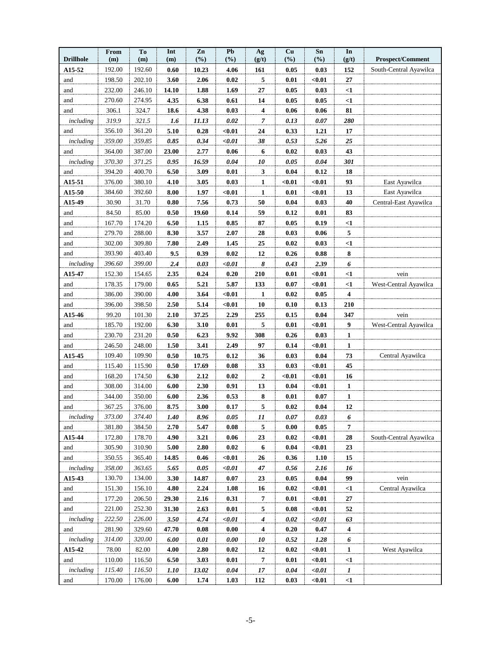| <b>Drillhole</b> | From<br>(m) | To<br>(m) | Int<br>(m) | Zn<br>(%) | P <sub>b</sub><br>(%) | Ag<br>(g/t)      | Cu<br>(%) | S <sub>n</sub><br>(%) | In<br>(g/t)             | <b>Prospect/Comment</b> |
|------------------|-------------|-----------|------------|-----------|-----------------------|------------------|-----------|-----------------------|-------------------------|-------------------------|
| A15-52           | 192.00      | 192.60    | 0.60       | 10.23     | 4.06                  | 161              | 0.05      | 0.03                  | 152                     | South-Central Ayawilca  |
| and              | 198.50      | 202.10    | 3.60       | 2.06      | 0.02                  | 5                | 0.01      | $0.01$                | 27                      |                         |
| and              | 232.00      | 246.10    | 14.10      | 1.88      | 1.69                  | 27               | 0.05      | 0.03                  | $\leq 1$                |                         |
| and              | 270.60      | 274.95    | 4.35       | 6.38      | 0.61                  | 14               | 0.05      | 0.05                  | $\leq$ 1                |                         |
| and              | 306.1       | 324.7     | 18.6       | 4.38      | 0.03                  | 4                | 0.06      | 0.06                  | 81                      |                         |
| including        | 319.9       | 321.5     | 1.6        | 11.13     | 0.02                  | 7                | 0.13      | 0.07                  | 280                     |                         |
| and              | 356.10      | 361.20    | 5.10       | 0.28      | $0.01$                | 24               | 0.33      | 1.21                  | 17                      |                         |
| including        | 359.00      | 359.85    | 0.85       | 0.34      | $0.01$                | 38               | 0.53      | 5.26                  | 25                      |                         |
| and              | 364.00      | 387.00    | 23.00      | 2.77      | 0.06                  | 6                | 0.02      | 0.03                  | 43                      |                         |
| including        | 370.30      | 371.25    | 0.95       | 16.59     | 0.04                  | 10               | 0.05      | 0.04                  | 301                     |                         |
| and              | 394.20      | 400.70    | 6.50       | 3.09      | 0.01                  | 3                | 0.04      | 0.12                  | 18                      |                         |
| A15-51           | 376.00      | 380.10    | 4.10       | 3.05      | 0.03                  | $\overline{1}$   | $0.01$    | $0.01$                | 93                      | East Ayawilca           |
| A15-50           | 384.60      | 392.60    | 8.00       | 1.97      | $0.01$                | 1                | 0.01      | $0.01$                | 13                      | East Ayawilca           |
| A15-49           | 30.90       | 31.70     | 0.80       | 7.56      | 0.73                  | 50               | 0.04      | 0.03                  | 40                      | Central-East Ayawilca   |
| and              | 84.50       | 85.00     | 0.50       | 19.60     | 0.14                  | 59               | 0.12      | 0.01                  | 83                      |                         |
| and              | 167.70      | 174.20    | 6.50       | 1.15      | 0.85                  | 87               | 0.05      | 0.19                  | $\leq$ 1                |                         |
| and              | 279.70      | 288.00    | 8.30       | 3.57      | 2.07                  | 28               | 0.03      | 0.06                  | 5                       |                         |
| and              | 302.00      | 309.80    | 7.80       | 2.49      | 1.45                  | 25               | 0.02      | 0.03                  | $<$ 1                   |                         |
| and              | 393.90      | 403.40    | 9.5        | 0.39      | 0.02                  | 12               | 0.26      | $\bf 0.88$            | $\bf 8$                 |                         |
| including        | 396.60      | 399.00    | 2.4        | 0.03      | $0.01$                | 8                | 0.43      | 2.39                  | 6                       |                         |
| A15-47           | 152.30      | 154.65    | 2.35       | 0.24      | 0.20                  | 210              | $0.01\,$  | $0.01$                | $<$ 1                   | vein                    |
| and              | 178.35      | 179.00    | 0.65       | 5.21      | 5.87                  | 133              | 0.07      | $0.01$                | $<$ 1                   | West-Central Ayawilca   |
| and              | 386.00      | 390.00    | 4.00       | 3.64      | $0.01$                | 1                | 0.02      | 0.05                  | $\overline{\mathbf{4}}$ |                         |
| and              | 396.00      | 398.50    | 2.50       | 5.14      | $0.01$                | 10               | 0.10      | 0.13                  | 210                     |                         |
| A15-46           | 99.20       | 101.30    | 2.10       | 37.25     | 2.29                  | 255              | 0.15      | 0.04                  | 347                     | vein                    |
| and              | 185.70      | 192.00    | 6.30       | 3.10      | 0.01                  | 5                | 0.01      | $0.01$                | $\boldsymbol{9}$        | West-Central Ayawilca   |
| and              | 230.70      | 231.20    | 0.50       | 6.23      | 9.92                  | 308              | 0.26      | 0.03                  | 1                       |                         |
| and              | 246.50      | 248.00    | 1.50       | 3.41      | 2.49                  | 97               | 0.14      | $0.01$                | $\mathbf{1}$            |                         |
| A15-45           | 109.40      | 109.90    | 0.50       | 10.75     | 0.12                  | 36               | 0.03      | 0.04                  | 73                      | Central Ayawilca        |
| and              | 115.40      | 115.90    | 0.50       | 17.69     | 0.08                  | 33               | 0.03      | $0.01$                | 45                      |                         |
| and              | 168.20      | 174.50    | 6.30       | 2.12      | 0.02                  | $\boldsymbol{2}$ | $0.01$    | $0.01$                | 16                      |                         |
| and              | 308.00      | 314.00    | 6.00       | 2.30      | 0.91                  | 13               | 0.04      | $0.01$                | $\mathbf{1}$            |                         |
| and              | 344.00      | 350.00    | 6.00       | 2.36      | 0.53                  | ${\bf 8}$        | 0.01      | 0.07                  | $\mathbf{1}$            |                         |
| and              | 367.25      | 376.00    | 8.75       | 3.00      | 0.17                  | 5                | 0.02      | 0.04                  | 12                      |                         |
| including        | 373.00      | 374.40    | 1.40       | 8.96      | 0.05                  | 11               | 0.07      | 0.03                  | 6                       |                         |
| and              | 381.80      | 384.50    | 2.70       | 5.47      | 0.08                  | 5                | 0.00      | 0.05                  | $\overline{7}$          |                         |
| A15-44           | 172.80      | 178.70    | 4.90       | 3.21      | 0.06                  | 23               | 0.02      | $0.01$                | 28                      | South-Central Ayawilca  |
| and              | 305.90      | 310.90    | 5.00       | 2.80      | 0.02                  | 6                | 0.04      | $0.01$                | 23                      |                         |
| and              | 350.55      | 365.40    | 14.85      | 0.46      | $0.01$                | <b>26</b>        | 0.36      | 1.10                  | 15                      |                         |
| including        | 358.00      | 363.65    | 5.65       | $0.05\,$  | $0.01$                | 47               | 0.56      | 2.16                  | 16                      |                         |
| A15-43           | 130.70      | 134.00    | 3.30       | 14.87     | 0.07                  | 23               | 0.05      | $0.04\,$              | 99                      | vein                    |
| and              | 151.30      | 156.10    | 4.80       | 2.24      | 1.08                  | 16               | 0.02      | $0.01$                | $\leq$ 1                | Central Ayawilca        |
| and              | 177.20      | 206.50    | 29.30      | 2.16      | 0.31                  | $\overline{7}$   | 0.01      | $0.01$                | $\bf 27$                |                         |
| and              | 221.00      | 252.30    | 31.30      | 2.63      | 0.01                  | 5                | 0.08      | $0.01$                | 52                      |                         |
| including        | 222.50      | 226.00    | 3.50       | 4.74      | $0.01$                | $\boldsymbol{4}$ | 0.02      | $0.01$                | 63                      |                         |
| and              | 281.90      | 329.60    | 47.70      | 0.08      | 0.00                  | 4                | 0.20      | 0.47                  | $\boldsymbol{4}$        |                         |
| including        | 314.00      | 320.00    | 6.00       | 0.01      | 0.00                  | 10               | 0.52      | 1.28                  | 6                       |                         |
| A15-42           | 78.00       | 82.00     | 4.00       | 2.80      | 0.02                  | 12               | $0.02\,$  | $0.01$                | $\mathbf{1}$            | West Ayawilca           |
| and              | 110.00      | 116.50    | 6.50       | 3.03      | 0.01                  | 7                | 0.01      | $0.01$                | $\leq$ 1                |                         |
| including        | 115.40      | 116.50    | 1.10       | 13.02     | 0.04                  | 17               | 0.04      | < 0.01                | $\mathbf{I}$            |                         |
| and              | 170.00      | 176.00    | 6.00       | 1.74      | 1.03                  | 112              | 0.03      | $0.01$                | $<$ 1                   |                         |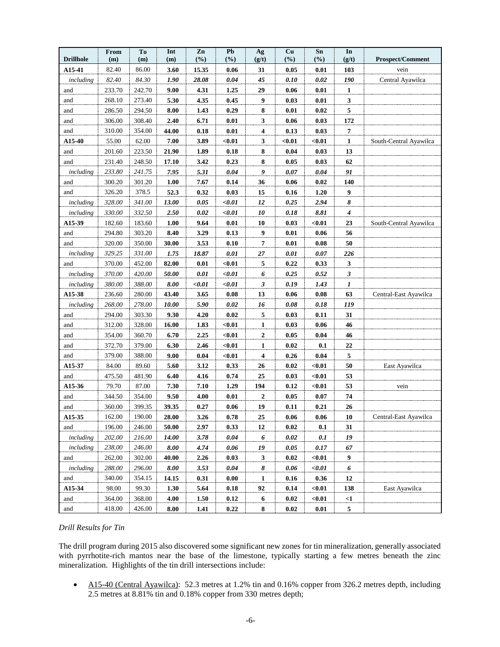| <b>Drillhole</b> | From<br>(m) | To<br>(m) | Int<br>(m) | Zn<br>(%) | Pb<br>$(\%)$ | Ag<br>(g/t)             | Cu<br>(%) | Sn<br>(%)           | In<br>(g/t)      | <b>Prospect/Comment</b> |
|------------------|-------------|-----------|------------|-----------|--------------|-------------------------|-----------|---------------------|------------------|-------------------------|
| A15-41           | 82.40       | 86.00     | 3.60       | 15.35     | 0.06         | 31                      | 0.05      | 0.01                | 103              | vein                    |
| including        | 82.40       | 84.30     | 1.90       | 28.08     | 0.04         | 45                      | 0.10      | $0.02\,$            | 190              | Central Ayawilca        |
| and              | 233.70      | 242.70    | 9.00       | 4.31      | 1.25         | 29                      | 0.06      | 0.01                | 1                |                         |
| and              | 268.10      | 273.40    | 5.30       | 4.35      | 0.45         | 9                       | 0.03      | 0.01                | 3                |                         |
| and              | 286.50      | 294.50    | 8.00       | 1.43      | 0.29         | 8                       | 0.01      | 0.02                | 5                |                         |
| and              | 306.00      | 308.40    | 2.40       | 6.71      | 0.01         | 3                       | 0.06      | 0.03                | 172              |                         |
| and              | 310.00      | 354.00    | 44.00      | 0.18      | 0.01         | 4                       | 0.13      | 0.03                | $\boldsymbol{7}$ |                         |
| A15-40           | 55.00       | 62.00     | 7.00       | 3.89      | $0.01$       | 3                       | $0.01$    | $0.01$              | 1                | South-Central Ayawilca  |
| and              | 201.60      | 223.50    | 21.90      | 1.89      | 0.18         | 8                       | 0.04      | 0.03                | 13               |                         |
| and              | 231.40      | 248.50    | 17.10      | 3.42      | 0.23         | 8                       | 0.05      | 0.03                | 62               |                         |
| including        | 233.80      | 241.75    | 7.95       | 5.31      | 0.04         | 9                       | 0.07      | 0.04                | 91               |                         |
| and              | 300.20      | 301.20    | 1.00       | 7.67      | 0.14         | 36                      | 0.06      | 0.02                | 140              |                         |
| and              | 326.20      | 378.5     | 52.3       | 0.32      | 0.03         | 15                      | 0.16      | $1.20$              | 9                |                         |
| including        | 328.00      | 341.00    | 13.00      | 0.05      | $0.01$       | 12                      | 0.25      | 2.94                | 8                |                         |
| including        | 330.00      | 332.50    | 2.50       | 0.02      | $0.01$       | 10                      | 0.18      | 8.81                | 4                |                         |
| A15-39           | 182.60      | 183.60    | 1.00       | 9.64      | 0.01         | 10                      | 0.03      | $0.01$              | 23               | South-Central Ayawilca  |
| and              | 294.80      | 303.20    | 8.40       | 3.29      | 0.13         | 9                       | 0.01      | 0.06                | 56               |                         |
| and              | 320.00      | 350.00    | 30.00      | 3.53      | 0.10         | 7                       | 0.01      | 0.08                | 50               |                         |
| including        | 329.25      | 331.00    | 1.75       | 18.87     | 0.01         | 27                      | 0.01      | 0.07                | 226              |                         |
| and              | 370.00      | 452.00    | 82.00      | 0.01      | $0.01$       | 5                       | 0.22      | 0.33                | $\mathbf{3}$     |                         |
| including        | 370.00      | 420.00    | 50.00      | 0.01      | $0.01$       | 6                       | 0.25      | 0.52                | $\mathfrak{z}$   |                         |
| including        | 380.00      | 388.00    | 8.00       | $0.01$    | $0.01$       | 3                       | 0.19      | 1.43                | $\boldsymbol{l}$ |                         |
| A15-38           | 236.60      | 280.00    | 43.40      | 3.65      | 0.08         | 13                      | 0.06      | $\boldsymbol{0.08}$ | 63               | Central-East Ayawilca   |
| including        | 268.00      | 278.00    | 10.00      | 5.90      | 0.02         | 16                      | 0.08      | 0.18                | 119              |                         |
| and              | 294.00      | 303.30    | 9.30       | 4.20      | 0.02         | 5                       | 0.03      | 0.11                | 31               |                         |
| and              | 312.00      | 328.00    | 16.00      | 1.83      | $0.01$       | $\mathbf{1}$            | 0.03      | $0.06\,$            | 46               |                         |
| and              | 354.00      | 360.70    | 6.70       | 2.25      | $0.01$       | $\mathbf{2}$            | 0.05      | 0.04                | 46               |                         |
| and              | 372.70      | 379.00    | 6.30       | 2.46      | $0.01$       | $\overline{1}$          | 0.02      | 0.1                 | 22               |                         |
| and              | 379.00      | 388.00    | 9.00       | 0.04      | $0.01$       | 4                       | 0.26      | 0.04                | 5                |                         |
| A15-37           | 84.00       | 89.60     | 5.60       | 3.12      | 0.33         | 26                      | 0.02      | $0.01$              | 50               | East Ayawilca           |
| and              | 475.50      | 481.90    | 6.40       | 4.16      | 0.74         | 25                      | 0.03      | $0.01$              | 53               |                         |
| A15-36           | 79.70       | 87.00     | 7.30       | 7.10      | 1.29         | 194                     | 0.12      | $0.01$              | 53               | vein                    |
| and              | 344.50      | 354.00    | 9.50       | 4.00      | 0.01         | $\mathbf{2}$            | 0.05      | 0.07                | 74               |                         |
| and              | 360.00      | 399.35    | 39.35      | 0.27      | 0.06         | 19                      | 0.11      | 0.21                | 26               |                         |
| A15-35           | 162.00      | 190.00    | 28.00      | 3.26      | 0.78         | ${\bf 25}$              | 0.06      | 0.06                | 10               | Central-East Ayawilca   |
| and              | 196.00      | 246.00    | 50.00      | 2.97      | 0.33         | $\bf{12}$               | 0.02      | 0.1                 | 31               |                         |
| including        | $202.00\,$  | 216.00    | 14.00      | 3.78      | 0.04         | $\overline{6}$          | 0.02      | 0.1                 | 19               |                         |
| including        | 238.00      | 246.00    | 8.00       | 4.74      | 0.06         | 19                      | 0.05      | 0.17                | 67               |                         |
| and              | 262.00      | 302.00    | 40.00      | 2.26      | 0.03         | $\overline{\mathbf{3}}$ | 0.02      | $0.01$              | 9                |                         |
| including        | 288.00      | 296.00    | 8.00       | 3.53      | 0.04         | $\frac{8}{3}$           | 0.06      | $0.01$              | $\overline{6}$   |                         |
| and              | 340.00      | 354.15    | 14.15      | 0.31      | 0.00         | 1                       | 0.16      | 0.36                | 12               |                         |
| A15-34           | 98.00       | 99.30     | 1.30       | 5.64      | 0.18         | 92                      | 0.14      | $0.01$              | 138              | East Ayawilca           |
| and              | 364.00      | 368.00    | 4.00       | 1.50      | 0.12         | $\boldsymbol{6}$        | 0.02      | $0.01$              | $\leq$ 1         |                         |
| and              | 418.00      | 426.00    | 8.00       | 1.41      | 0.22         | 8                       | 0.02      | 0.01                | 5                |                         |

# *Drill Results for Tin*

The drill program during 2015 also discovered some significant new zones for tin mineralization, generally associated with pyrrhotite-rich mantos near the base of the limestone, typically starting a few metres beneath the zinc mineralization. Highlights of the tin drill intersections include:

• A15-40 (Central Ayawilca): 52.3 metres at 1.2% tin and 0.16% copper from 326.2 metres depth, including 2.5 metres at 8.81% tin and 0.18% copper from 330 metres depth;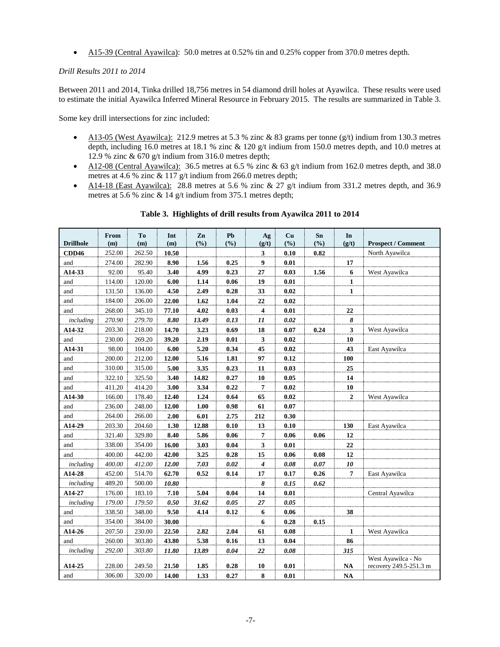• A15-39 (Central Ayawilca): 50.0 metres at 0.52% tin and 0.25% copper from 370.0 metres depth.

## *Drill Results 2011 to 2014*

Between 2011 and 2014, Tinka drilled 18,756 metres in 54 diamond drill holes at Ayawilca. These results were used to estimate the initial Ayawilca Inferred Mineral Resource in February 2015. The results are summarized in Table 3.

Some key drill intersections for zinc included:

- A13-05 (West Ayawilca): 212.9 metres at 5.3 % zinc & 83 grams per tonne  $(g/t)$  indium from 130.3 metres depth, including 16.0 metres at 18.1 % zinc & 120 g/t indium from 150.0 metres depth, and 10.0 metres at 12.9 % zinc & 670 g/t indium from 316.0 metres depth;
- A12-08 (Central Ayawilca): 36.5 metres at 6.5 % zinc & 63 g/t indium from 162.0 metres depth, and 38.0 metres at 4.6 % zinc & 117 g/t indium from 266.0 metres depth;
- A14-18 (East Ayawilca): 28.8 metres at 5.6 % zinc & 27 g/t indium from 331.2 metres depth, and 36.9 metres at 5.6 % zinc & 14 g/t indium from 375.1 metres depth;

| <b>Drillhole</b> | From<br>(m) | To<br>(m) | Int<br>(m) | Zn<br>(%) | <b>Pb</b><br>(%) | Ag<br>(g/t)             | Cu<br>(%) | Sn<br>(9/0) | In<br>(g/t)    | <b>Prospect / Comment</b> |
|------------------|-------------|-----------|------------|-----------|------------------|-------------------------|-----------|-------------|----------------|---------------------------|
| <b>CDD46</b>     | 252.00      | 262.50    | 10.50      |           |                  | 3                       | 0.10      | 0.82        |                | North Ayawilca            |
| and              | 274.00      | 282.90    | 8.90       | 1.56      | 0.25             | 9                       | 0.01      |             | 17             |                           |
| A14-33           | 92.00       | 95.40     | 3.40       | 4.99      | 0.23             | 27                      | 0.03      | 1.56        | 6              | West Ayawilca             |
| and              | 114.00      | 120.00    | 6.00       | 1.14      | 0.06             | 19                      | 0.01      |             | $\mathbf{1}$   |                           |
| and              | 131.50      | 136.00    | 4.50       | 2.49      | 0.28             | 33                      | 0.02      |             | $\mathbf{1}$   |                           |
| and              | 184.00      | 206.00    | 22.00      | 1.62      | 1.04             | 22                      | 0.02      |             |                |                           |
| and              | 268.00      | 345.10    | 77.10      | 4.02      | 0.03             | $\overline{\mathbf{4}}$ | 0.01      |             | 22             |                           |
| including        | 270.90      | 279.70    | 8.80       | 13.49     | 0.13             | 11                      | 0.02      |             | 8              |                           |
| A14-32           | 203.30      | 218.00    | 14.70      | 3.23      | 0.69             | 18                      | 0.07      | 0.24        | 3              | West Ayawilca             |
| and              | 230.00      | 269.20    | 39.20      | 2.19      | 0.01             | 3                       | 0.02      |             | 10             |                           |
| A14-31           | 98.00       | 104.00    | 6.00       | 5.20      | 0.34             | 45                      | 0.02      |             | 43             | East Ayawilca             |
| and              | 200.00      | 212.00    | 12.00      | 5.16      | 1.81             | 97                      | 0.12      |             | 100            |                           |
| and              | 310.00      | 315.00    | 5.00       | 3.35      | 0.23             | 11                      | 0.03      |             | 25             |                           |
| and              | 322.10      | 325.50    | 3.40       | 14.82     | 0.27             | 10                      | 0.05      |             | 14             |                           |
| and              | 411.20      | 414.20    | 3.00       | 3.34      | 0.22             | 7                       | 0.02      |             | 10             |                           |
| A14-30           | 166.00      | 178.40    | 12.40      | 1.24      | 0.64             | 65                      | 0.02      |             | $\overline{2}$ | West Ayawilca             |
| and              | 236.00      | 248.00    | 12.00      | 1.00      | 0.98             | 61                      | 0.07      |             |                |                           |
| and              | 264.00      | 266.00    | 2.00       | 6.01      | 2.75             | 212                     | 0.30      |             |                |                           |
| A14-29           | 203.30      | 204.60    | 1.30       | 12.88     | 0.10             | 13                      | 0.10      |             | 130            | East Ayawilca             |
| and              | 321.40      | 329.80    | 8.40       | 5.86      | 0.06             | 7                       | 0.06      | 0.06        | 12             |                           |
| and              | 338.00      | 354.00    | 16.00      | 3.03      | 0.04             | 3                       | 0.01      |             | 22             |                           |
| and              | 400.00      | 442.00    | 42.00      | 3.25      | 0.28             | 15                      | 0.06      | 0.08        | 12             |                           |
| including        | 400.00      | 412.00    | 12.00      | 7.03      | 0.02             | 4                       | 0.08      | 0.07        | 10             |                           |
| A14-28           | 452.00      | 514.70    | 62.70      | 0.52      | 0.14             | 17                      | 0.17      | 0.26        | 7              | East Ayawilca             |
| including        | 489.20      | 500.00    | 10.80      |           |                  | 8                       | 0.15      | 0.62        |                |                           |
| A14-27           | 176.00      | 183.10    | 7.10       | 5.04      | 0.04             | 14                      | 0.01      |             |                | Central Ayawilca          |
| including        | 179.00      | 179.50    | 0.50       | 31.62     | 0.05             | 27                      | 0.05      |             |                |                           |
| and              | 338.50      | 348.00    | 9.50       | 4.14      | 0.12             | 6                       | 0.06      |             | 38             |                           |
| and              | 354.00      | 384.00    | 30.00      |           |                  | 6                       | 0.28      | 0.15        |                |                           |
| A14-26           | 207.50      | 230.00    | 22.50      | 2.82      | 2.04             | 61                      | 0.08      |             | 1              | West Ayawilca             |
| and              | 260.00      | 303.80    | 43.80      | 5.38      | 0.16             | 13                      | 0.04      |             | 86             |                           |
| including        | 292.00      | 303.80    | 11.80      | 13.89     | 0.04             | 22                      | 0.08      |             | 315            |                           |
|                  |             |           |            |           |                  |                         |           |             |                | West Ayawilca - No        |
| A14-25           | 228.00      | 249.50    | 21.50      | 1.85      | 0.28             | 10                      | 0.01      |             | <b>NA</b>      | recovery 249.5-251.3 m    |
| and              | 306.00      | 320.00    | 14.00      | 1.33      | 0.27             | 8                       | 0.01      |             | NA             |                           |

**Table 3. Highlights of drill results from Ayawilca 2011 to 2014**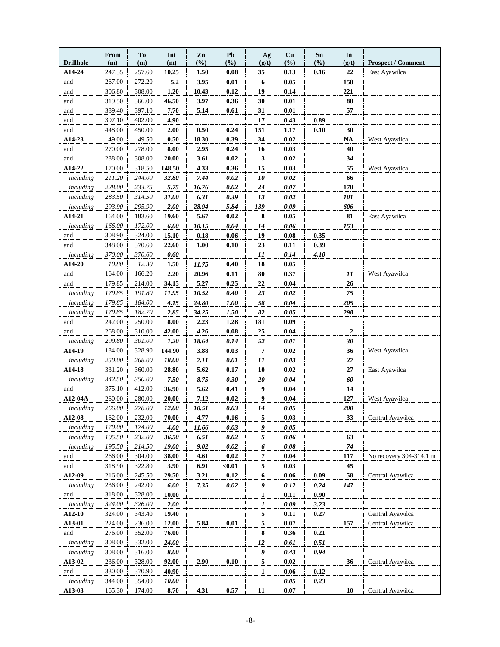| <b>Drillhole</b> | <b>From</b><br>(m) | To<br>(m)        | Int<br>(m)    | Zn<br>(%)    | Pb<br>(%)    | Ag<br>(g/t)    | Cu<br>(%)    | Sn<br>$(\%)$ | In<br>(g/t)      | <b>Prospect / Comment</b> |
|------------------|--------------------|------------------|---------------|--------------|--------------|----------------|--------------|--------------|------------------|---------------------------|
| A14-24           | 247.35             | 257.60           | 10.25         | 1.50         | 0.08         | 35             | 0.13         | 0.16         | 22               | East Ayawilca             |
| and              | 267.00             | 272.20           | 5.2           | 3.95         | 0.01         | 6              | 0.05         |              | 158              |                           |
| and              | 306.80             | 308.00           | 1.20          | 10.43        | 0.12         | 19             | 0.14         |              | 221              |                           |
| and              | 319.50             | 366.00           | 46.50         | 3.97         | 0.36         | 30             | 0.01         |              | 88               |                           |
| and              | 389.40             | 397.10           | 7.70          | 5.14         | 0.61         | 31             | 0.01         |              | 57               |                           |
| and              | 397.10             | 402.00           | 4.90          |              |              | 17             | 0.43         | 0.89         |                  |                           |
| and              | 448.00             | 450.00           | 2.00          | 0.50         | 0.24         | 151            | 1.17         | 0.10         | 30               |                           |
| A14-23           | 49.00              | 49.50            | 0.50          | 18.30        | 0.39         | 34             | 0.02         |              | <b>NA</b>        | West Ayawilca             |
| and              | 270.00             | 278.00           | 8.00          | 2.95         | 0.24         | 16             | 0.03         |              | 40               |                           |
| and              | 288.00             | 308.00           | 20.00         | 3.61         | 0.02         | 3              | 0.02         |              | 34               |                           |
| A14-22           | 170.00             | 318.50           | 148.50        | 4.33         | 0.36         | 15             | 0.03         |              | 55               | West Ayawilca             |
| including        | 211.20             | 244.00           | 32.80         | 7.44         | 0.02         | 10             | 0.02         |              | 66               |                           |
| including        | 228.00             | 233.75           | 5.75          | 16.76        | 0.02         | 24             | 0.07         |              | 170              |                           |
| including        | 283.50             | 314.50           | 31.00         | 6.31         | 0.39         | 13             | 0.02         |              | 101              |                           |
| including        | 293.90             | 295.90           | 2.00          | 28.94        | 5.84         | 139            | 0.09         |              | 606              |                           |
| A14-21           | 164.00             | 183.60           | 19.60         | 5.67         | 0.02         | 8              | 0.05         |              | 81               | East Ayawilca             |
| including        | 166.00             | 172.00           | 6.00          | 10.15        | 0.04         | 14             | 0.06         |              | 153              |                           |
| and              | 308.90             | 324.00           | 15.10         | 0.18         | 0.06         | 19             | 0.08         | 0.35         |                  |                           |
| and              | 348.00             | 370.60           | 22.60         | 1.00         | 0.10         | 23             | 0.11         | 0.39         |                  |                           |
| including        | 370.00             | 370.60           | 0.60          |              |              | 11             | 0.14         | 4.10         |                  |                           |
| A14-20           | 10.80              | 12.30            | 1.50          | 11.75        | 0.40         | 18             | 0.05         |              |                  |                           |
| and              | 164.00             | 166.20           | 2.20          | 20.96        | 0.11         | 80             | 0.37         |              | 11               | West Ayawilca             |
| and              | 179.85             | 214.00           | 34.15         | 5.27         | 0.25         | 22             | 0.04         |              | 26               |                           |
| including        | 179.85             | 191.80           | 11.95         | 10.52        | 0.40         | 23             | 0.02         |              | 75               |                           |
| including        | 179.85             | 184.00           | 4.15          | 24.80        | 1.00         | 58             | 0.04         |              | 205              |                           |
| including        | 179.85             | 182.70           | 2.85          | 34.25        | 1.50         | 82             | 0.05         |              | 298              |                           |
| and              | 242.00             | 250.00           | 8.00          | 2.23         | 1.28         | 181            | 0.09         |              |                  |                           |
| and              | 268.00             | 310.00           | 42.00         | 4.26         | 0.08         | 25             | 0.04         |              | $\boldsymbol{2}$ |                           |
| including        | 299.80             | 301.00           | 1.20          | 18.64        | 0.14         | 52             | 0.01         |              | 30               |                           |
| A14-19           | 184.00             | 328.90           | 144.90        | 3.88         | 0.03         | 7              | 0.02         |              | 36               | West Ayawilca             |
| including        | 250.00             | 268.00           | 18.00         | 7.11         | 0.01         | 11             | 0.03         |              | 27               |                           |
| A14-18           | 331.20             | 360.00           | 28.80         | 5.62         | 0.17         | 10             | 0.02         |              | 27               | East Ayawilca             |
| including<br>and | 342.50             | 350.00<br>412.00 | 7.50<br>36.90 | 8.75<br>5.62 | 0.30<br>0.41 | 20<br>9        | 0.04<br>0.04 |              | 60<br>14         |                           |
| A12-04A          | 375.10<br>260.00   | 280.00           | 20.00         | 7.12         | 0.02         | 9              | 0.04         |              | 127              |                           |
| including        | 266.00             | 278.00           | 12.00         | 10.51        | 0.03         | 14             | 0.05         |              | 200              | West Ayawilca             |
| A12-08           | 162.00             | 232.00           | 70.00         | 4.77         | 0.16         | 5              | 0.03         |              | 33               | Central Ayawilca          |
| including        | 170.00             | 174.00           | 4.00          | 11.66        | 0.03         | 9              | 0.05         |              |                  |                           |
| including        | 195.50             | 232.00           | 36.50         | 6.51         | 0.02         | 5              | 0.06         |              | 63               |                           |
| including        | 195.50             | 214.50           | 19.00         | 9.02         | $0.02\,$     | 6              | 0.08         |              | 74               |                           |
| and              | 266.00             | 304.00           | 38.00         | 4.61         | 0.02         | 7              | 0.04         |              | 117              | No recovery 304-314.1 m   |
| and              | 318.90             | 322.80           | 3.90          | 6.91         | $0.01$       | 5              | 0.03         |              | 45               |                           |
| A12-09           | 216.00             | 245.50           | 29.50         | 3.21         | 0.12         | 6              | 0.06         | 0.09         | 58               | Central Ayawilca          |
| including        | 236.00             | 242.00           | 6.00          | 7.35         | 0.02         | 9              | 0.12         | 0.24         | 147              |                           |
| and              | 318.00             | 328.00           | 10.00         |              |              | $\overline{1}$ | 0.11         | 0.90         |                  |                           |
| including        | 324.00             | 326.00           | 2.00          |              |              | 1              | 0.09         | 3.23         |                  |                           |
| A12-10           | 324.00             | 343.40           | 19.40         |              |              | $\overline{5}$ | 0.11         | 0.27         |                  | Central Ayawilca          |
| A13-01           | 224.00             | 236.00           | 12.00         | 5.84         | 0.01         | 5              | 0.07         |              | 157              | Central Ayawilca          |
| and              | 276.00             | 352.00           | 76.00         |              |              | 8              | 0.36         | 0.21         |                  |                           |
| including        | 308.00             | 332.00           | 24.00         |              |              | $\frac{12}{2}$ | 0.61         | 0.51         |                  |                           |
| including        | 308.00             | 316.00           | 8.00          |              |              | $\overline{9}$ | 0.43         | 0.94         |                  |                           |
| A13-02           | 236.00             | 328.00           | 92.00         | 2.90         | 0.10         | 5              | 0.02         |              | 36               | Central Ayawilca          |
| and              | 330.00             | 370.90           | 40.90         |              |              | $\mathbf{1}$   | 0.06         | 0.12         |                  |                           |
| including        | 344.00             | 354.00           | 10.00         |              |              |                | 0.05         | 0.23         |                  |                           |
| A13-03           | 165.30             | 174.00           | 8.70          | 4.31         | 0.57         | 11             | 0.07         |              | 10               | Central Ayawilca          |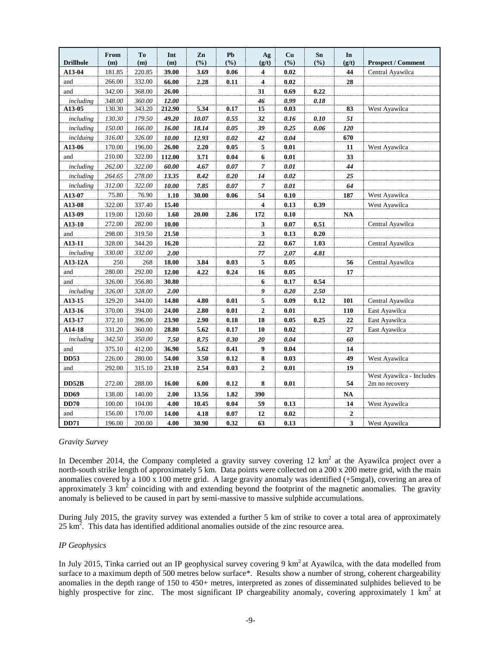| <b>Drillhole</b> | From<br>(m) | T <sub>0</sub><br>(m) | Int<br>(m) | Zn<br>(%) | Pb<br>(%) | Ag<br>(g/t)             | Cu<br>$(\%)$ | Sn<br>(%) | In<br>(g/t)            | <b>Prospect / Comment</b> |
|------------------|-------------|-----------------------|------------|-----------|-----------|-------------------------|--------------|-----------|------------------------|---------------------------|
| A13-04           | 181.85      | 220.85                | 39.00      | 3.69      | 0.06      | $\overline{4}$          | $\bf{0.02}$  |           | 44                     | Central Ayawilca          |
| and              | 266.00      | 332.00                | 66.00      | 2.28      | 0.11      | $\overline{4}$          | $\bf{0.02}$  |           | 28                     |                           |
| and              | 342.00      | 368.00                | 26.00      |           |           | 31                      | 0.69         | 0.22      |                        |                           |
| including        | 348.00      | 360.00                | 12.00      |           |           | 46                      | 0.99         | 0.18      |                        |                           |
| A13-05           | 130.30      | 343.20                | 212.90     | 5.34      | 0.17      | $\overline{15}$         | 0.03         |           | 83                     | West Ayawilca             |
| including        | 130.30      | 179.50                | 49.20      | 10.07     | 0.55      | 32                      | 0.16         | 0.10      | 51                     |                           |
| including        | 150.00      | 166.00                | 16.00      | 18.14     | 0.05      | 39                      | 0.25         | 0.06      | 120                    |                           |
| inclduing        | 316.00      | 326.00                | 10.00      | 12.93     | 0.02      | 42                      | 0.04         |           | 670                    |                           |
| A13-06           | 170.00      | 196.00                | 26.00      | 2.20      | 0.05      | 5                       | 0.01         |           | 11                     | West Ayawilca             |
| and              | 210.00      | 322.00                | 112.00     | 3.71      | 0.04      | 6                       | 0.01         |           | 33                     |                           |
| including        | 262.00      | 322.00                | 60.00      | 4.67      | $0.07\,$  | 7                       | 0.01         |           | 44                     |                           |
| including        | 264.65      | 278.00                | 13.35      | 8.42      | 0.20      | 14                      | 0.02         |           | 25                     |                           |
| including        | 312.00      | 322.00                | 10.00      | 7.85      | 0.07      | 7                       | 0.01         |           | 64                     |                           |
| A13-07           | 75.80       | 76.90                 | 1.10       | 30.00     | 0.06      | 54                      | 0.10         |           | 187                    | West Ayawilca             |
| A13-08           | 322.00      | 337.40                | 15.40      |           |           | $\overline{\mathbf{4}}$ | 0.13         | 0.39      |                        | West Ayawilca             |
| A13-09           | 119.00      | 120.60                | 1.60       | 20.00     | 2.86      | 172                     | $0.10\,$     |           | $\mathbf{N}\mathbf{A}$ |                           |
| A13-10           | 272.00      | 282.00                | 10.00      |           |           | 3                       | 0.07         | 0.51      |                        | Central Ayawilca          |
| and              | 298.00      | 319.50                | 21.50      |           |           | $\overline{\mathbf{3}}$ | 0.13         | 0.20      |                        |                           |
| A13-11           | 328.00      | 344.20                | 16.20      |           |           | $\bf{22}$               | 0.67         | 1.03      |                        | Central Ayawilca          |
| including        | 330.00      | 332.00                | 2.00       |           |           | $77\,$                  | 2.07         | 4.81      |                        |                           |
| A13-12A          | 250         | 268                   | 18.00      | 3.84      | 0.03      | 5                       | 0.05         |           | 56                     | Central Ayawilca          |
| and              | 280.00      | 292.00                | 12.00      | 4.22      | 0.24      | 16                      | 0.05         |           | 17                     |                           |
| and              | 326.00      | 356.80                | 30.80      |           |           | 6                       | 0.17         | 0.54      |                        |                           |
| including        | 326.00      | 328.00                | 2.00       |           |           | $\overline{9}$          | 0.20         | 2.50      |                        |                           |
| A13-15           | 329.20      | 344.00                | 14.80      | 4.80      | 0.01      | 5                       | 0.09         | 0.12      | 101                    | Central Ayawilca          |
| A13-16           | 370.00      | 394.00                | 24.00      | 2.80      | 0.01      | 2                       | $0.01\,$     |           | 110                    | East Ayawilca             |
| A13-17           | 372.10      | 396.00                | 23.90      | 2.90      | 0.18      | 18                      | 0.05         | 0.25      | 22                     | East Ayawilca             |
| A14-18           | 331.20      | 360.00                | 28.80      | 5.62      | 0.17      | 10                      | 0.02         |           | 27                     | East Ayawilca             |
| including        | 342.50      | 350.00                | 7.50       | 8.75      | 0.30      | 20                      | 0.04         |           | 60                     |                           |
| and              | 375.10      | 412.00                | 36.90      | 5.62      | 0.41      | 9                       | 0.04         |           | 14                     |                           |
| <b>DD53</b>      | 226.00      | 280.00                | 54.00      | 3.50      | 0.12      | 8                       | 0.03         |           | 49                     | West Ayawilca             |
| and              | 292.00      | 315.10                | 23.10      | 2.54      | 0.03      | 2                       | $0.01\,$     |           | 19                     |                           |
|                  |             |                       |            |           |           |                         |              |           |                        | West Ayawilca - Includes  |
| <b>DD52B</b>     | 272.00      | 288.00                | 16.00      | $6.00\,$  | 0.12      | 8                       | $0.01\,$     |           | 54                     | 2m no recovery            |
| <b>DD69</b>      | 138.00      | 140.00                | 2.00       | 13.56     | 1.82      | 390                     |              |           | <b>NA</b>              |                           |
| DD70             | 100.00      | 104.00                | 4.00       | 10.45     | $0.04\,$  | 59                      | 0.13         |           | 14                     | West Ayawilca             |
| and              | 156.00      | 170.00                | 14.00      | 4.18      | 0.07      | 12                      | 0.02         |           | $\boldsymbol{2}$       |                           |
| <b>DD71</b>      | 196.00      | 200.00                | 4.00       | 30.90     | 0.32      | 63                      | 0.13         |           | 3                      | West Ayawilca             |

## *Gravity Survey*

In December 2014, the Company completed a gravity survey covering  $12 \text{ km}^2$  at the Ayawilca project over a north-south strike length of approximately 5 km. Data points were collected on a 200 x 200 metre grid, with the main anomalies covered by a 100 x 100 metre grid. A large gravity anomaly was identified (+5mgal), covering an area of approximately 3  $km<sup>2</sup>$  coinciding with and extending beyond the footprint of the magnetic anomalies. The gravity anomaly is believed to be caused in part by semi-massive to massive sulphide accumulations.

During July 2015, the gravity survey was extended a further 5 km of strike to cover a total area of approximately  $25 \text{ km}^2$ . This data has identified additional anomalies outside of the zinc resource area.

## *IP Geophysics*

In July 2015, Tinka carried out an IP geophysical survey covering 9 km<sup>2</sup> at Ayawilca, with the data modelled from surface to a maximum depth of 500 metres below surface\*. Results show a number of strong, coherent chargeability anomalies in the depth range of 150 to 450+ metres, interpreted as zones of disseminated sulphides believed to be highly prospective for zinc. The most significant IP chargeability anomaly, covering approximately 1  $km<sup>2</sup>$  at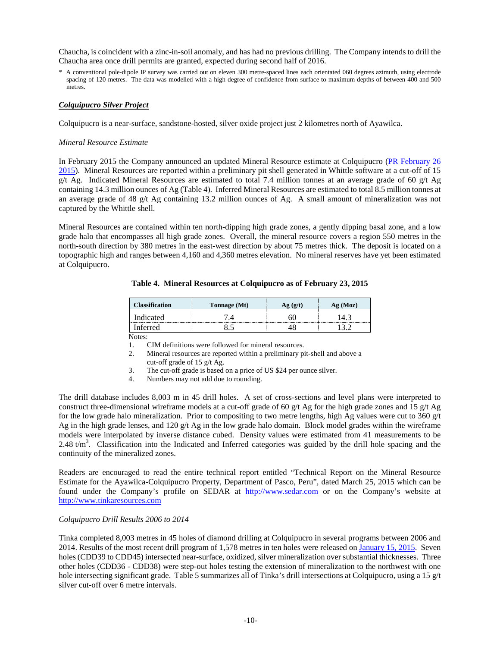Chaucha, is coincident with a zinc-in-soil anomaly, and has had no previous drilling. The Company intends to drill the Chaucha area once drill permits are granted, expected during second half of 2016.

\* A conventional pole-dipole IP survey was carried out on eleven 300 metre-spaced lines each orientated 060 degrees azimuth, using electrode spacing of 120 metres. The data was modelled with a high degree of confidence from surface to maximum depths of between 400 and 500 metres.

## *Colquipucro Silver Project*

Colquipucro is a near-surface, sandstone-hosted, silver oxide project just 2 kilometres north of Ayawilca.

## *Mineral Resource Estimate*

In February 2015 the Company announced an updated Mineral Resource estimate at Colquipucro [\(PR February 26](http://www.tinkaresources.com/s/NewsReleases.asp?ReportID=697874&_Type=News&_Title=Tinka-Announces-Initial-Inferred-Zinc-Resource-of-13.3-Million-Tonnes-Gradi...)  [2015\)](http://www.tinkaresources.com/s/NewsReleases.asp?ReportID=697874&_Type=News&_Title=Tinka-Announces-Initial-Inferred-Zinc-Resource-of-13.3-Million-Tonnes-Gradi...). Mineral Resources are reported within a preliminary pit shell generated in Whittle software at a cut-off of 15 g/t Ag. Indicated Mineral Resources are estimated to total 7.4 million tonnes at an average grade of 60 g/t Ag containing 14.3 million ounces of Ag (Table 4). Inferred Mineral Resources are estimated to total 8.5 million tonnes at an average grade of 48 g/t Ag containing 13.2 million ounces of Ag. A small amount of mineralization was not captured by the Whittle shell.

Mineral Resources are contained within ten north-dipping high grade zones, a gently dipping basal zone, and a low grade halo that encompasses all high grade zones. Overall, the mineral resource covers a region 550 metres in the north-south direction by 380 metres in the east-west direction by about 75 metres thick. The deposit is located on a topographic high and ranges between 4,160 and 4,360 metres elevation. No mineral reserves have yet been estimated at Colquipucro.

| <b>Classification</b> | Tonnage (Mt) | (Moz) |
|-----------------------|--------------|-------|
| Indicated             |              |       |
| Inferred              |              |       |

**Table 4. Mineral Resources at Colquipucro as of February 23, 2015**

 $\overline{\text{Notes:}}$ <br>1.

CIM definitions were followed for mineral resources.

- 2. Mineral resources are reported within a preliminary pit-shell and above a cut-off grade of 15 g/t Ag.
- 3. The cut-off grade is based on a price of US \$24 per ounce silver.
- 4. Numbers may not add due to rounding.

The drill database includes 8,003 m in 45 drill holes. A set of cross-sections and level plans were interpreted to construct three-dimensional wireframe models at a cut-off grade of 60 g/t Ag for the high grade zones and 15 g/t Ag for the low grade halo mineralization. Prior to compositing to two metre lengths, high Ag values were cut to  $360 \text{ g/t}$ Ag in the high grade lenses, and 120 g/t Ag in the low grade halo domain. Block model grades within the wireframe models were interpolated by inverse distance cubed. Density values were estimated from 41 measurements to be 2.48  $t/m<sup>3</sup>$ . Classification into the Indicated and Inferred categories was guided by the drill hole spacing and the continuity of the mineralized zones.

Readers are encouraged to read the entire technical report entitled "Technical Report on the Mineral Resource Estimate for the Ayawilca-Colquipucro Property, Department of Pasco, Peru", dated March 25, 2015 which can be found under the Company's profile on SEDAR at [http://www.sedar.com](http://www.sedar.com/) or on the Company's website at [http://www.tinkaresources.com](http://www.tinkaresources.com/)

# *Colquipucro Drill Results 2006 to 2014*

Tinka completed 8,003 metres in 45 holes of diamond drilling at Colquipucro in several programs between 2006 and 2014. Results of the most recent drill program of 1,578 metres in ten holes were released on [January 15, 2015.](http://www.tinkaresources.com/s/NewsReleases.asp?ReportID=691218&_Type=News&_Title=Tinka-Announces-Results-Of-1600-Metre-Ten-Hole-Drill-Program-At-Colquipucro...) Seven holes (CDD39 to CDD45) intersected near-surface, oxidized, silver mineralization over substantial thicknesses. Three other holes (CDD36 - CDD38) were step-out holes testing the extension of mineralization to the northwest with one hole intersecting significant grade. Table 5 summarizes all of Tinka's drill intersections at Colquipucro, using a 15 g/t silver cut-off over 6 metre intervals.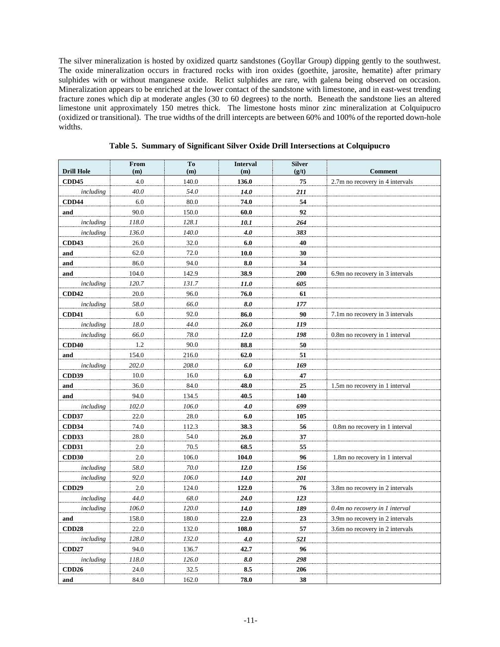The silver mineralization is hosted by oxidized quartz sandstones (Goyllar Group) dipping gently to the southwest. The oxide mineralization occurs in fractured rocks with iron oxides (goethite, jarosite, hematite) after primary sulphides with or without manganese oxide. Relict sulphides are rare, with galena being observed on occasion. Mineralization appears to be enriched at the lower contact of the sandstone with limestone, and in east-west trending fracture zones which dip at moderate angles (30 to 60 degrees) to the north. Beneath the sandstone lies an altered limestone unit approximately 150 metres thick. The limestone hosts minor zinc mineralization at Colquipucro (oxidized or transitional). The true widths of the drill intercepts are between 60% and 100% of the reported down-hole widths.

|                   | From    | To    | <b>Interval</b> | <b>Silver</b> |                                 |
|-------------------|---------|-------|-----------------|---------------|---------------------------------|
| <b>Drill Hole</b> | (m)     | (m)   | (m)             | (g/t)         | <b>Comment</b>                  |
| <b>CDD45</b>      | 4.0     | 140.0 | 136.0           | 75            | 2.7m no recovery in 4 intervals |
| including         | 40.0    | 54.0  | 14.0            | 211           |                                 |
| <b>CDD44</b>      | 6.0     | 80.0  | 74.0            | 54            |                                 |
| and               | 90.0    | 150.0 | 60.0            | 92            |                                 |
| including         | 118.0   | 128.1 | 10.1            | 264           |                                 |
| including         | 136.0   | 140.0 | 4.0             | 383           |                                 |
| CDD43             | 26.0    | 32.0  | 6.0             | 40            |                                 |
| and               | 62.0    | 72.0  | 10.0            | 30            |                                 |
| and               | 86.0    | 94.0  | 8.0             | 34            |                                 |
| and               | 104.0   | 142.9 | 38.9            | 200           | 6.9m no recovery in 3 intervals |
| including         | 120.7   | 131.7 | 11.0            | 605           |                                 |
| <b>CDD42</b>      | 20.0    | 96.0  | 76.0            | 61            |                                 |
| including         | 58.0    | 66.0  | 8.0             | 177           |                                 |
| <b>CDD41</b>      | 6.0     | 92.0  | 86.0            | 90            | 7.1m no recovery in 3 intervals |
| including         | 18.0    | 44.0  | 26.0            | 119           |                                 |
| including         | 66.0    | 78.0  | 12.0            | 198           | 0.8m no recovery in 1 interval  |
| CDD40             | 1.2     | 90.0  | 88.8            | 50            |                                 |
| and               | 154.0   | 216.0 | 62.0            | 51            |                                 |
| including         | 202.0   | 208.0 | 6.0             | 169           |                                 |
| <b>CDD39</b>      | 10.0    | 16.0  | 6.0             | 47            |                                 |
| and               | 36.0    | 84.0  | 48.0            | 25            | 1.5m no recovery in 1 interval  |
| and               | 94.0    | 134.5 | 40.5            | 140           |                                 |
| including         | 102.0   | 106.0 | 4.0             | 699           |                                 |
| <b>CDD37</b>      | 22.0    | 28.0  | 6.0             | 105           |                                 |
| <b>CDD34</b>      | 74.0    | 112.3 | 38.3            | 56            | 0.8m no recovery in 1 interval  |
| CDD33             | 28.0    | 54.0  | 26.0            | 37            |                                 |
| <b>CDD31</b>      | 2.0     | 70.5  | 68.5            | 55            |                                 |
| CDD30             | 2.0     | 106.0 | 104.0           | 96            | 1.8m no recovery in 1 interval  |
| including         | 58.0    | 70.0  | 12.0            | 156           |                                 |
| including         | 92.0    | 106.0 | 14.0            | 201           |                                 |
| <b>CDD29</b>      | $2.0\,$ | 124.0 | 122.0           | 76            | 3.8m no recovery in 2 intervals |
| including         | 44.0    | 68.0  | 24.0            | 123           |                                 |
| including         | 106.0   | 120.0 | 14.0            | 189           | 0.4m no recovery in 1 interval  |
| and               | 158.0   | 180.0 | 22.0            | 23            | 3.9m no recovery in 2 intervals |
| <b>CDD28</b>      | 22.0    | 132.0 | 108.0           | 57            | 3.6m no recovery in 2 intervals |
| including         | 128.0   | 132.0 | 4.0             | 521           |                                 |
| <b>CDD27</b>      | 94.0    | 136.7 | 42.7            | 96            |                                 |
| including         | 118.0   | 126.0 | 8.0             | 298           |                                 |
| CDD <sub>26</sub> | 24.0    | 32.5  | 8.5             | 206           |                                 |
| and               | 84.0    | 162.0 | 78.0            | 38            |                                 |

**Table 5. Summary of Significant Silver Oxide Drill Intersections at Colquipucro**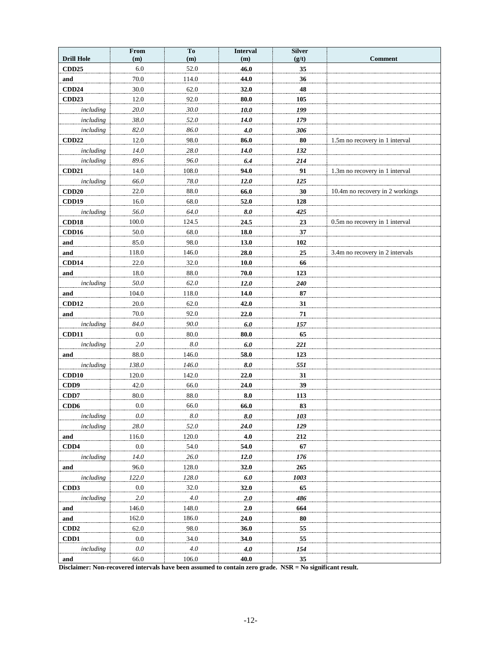|                   | From    | To        | <b>Interval</b> | <b>Silver</b> |                                 |
|-------------------|---------|-----------|-----------------|---------------|---------------------------------|
| <b>Drill Hole</b> | (m)     | (m)       | (m)             | (g/t)         | <b>Comment</b>                  |
| <b>CDD25</b>      | 6.0     | 52.0      | 46.0            | 35            |                                 |
| and               | 70.0    | 114.0     | 44.0            | 36            |                                 |
| <b>CDD24</b>      | 30.0    | 62.0      | 32.0            | 48            |                                 |
| CDD <sub>23</sub> | 12.0    | 92.0      | 80.0            | 105           |                                 |
| including         | 20.0    | 30.0      | $10.0$          | 199           |                                 |
| including         | 38.0    | 52.0      | 14.0            | 179           |                                 |
| including         | 82.0    | 86.0      | 4.0             | 306           |                                 |
| <b>CDD22</b>      | 12.0    | 98.0      | 86.0            | 80            | 1.5m no recovery in 1 interval  |
| including         | 14.0    | 28.0      | 14.0            | 132           |                                 |
| including         | 89.6    | 96.0      | 6.4             | 214           |                                 |
| CDD21             | 14.0    | 108.0     | 94.0            | 91            | 1.3m no recovery in 1 interval  |
| including         | 66.0    | 78.0      | 12.0            | 125           |                                 |
| CDD20             | 22.0    | 88.0      | 66.0            | 30            | 10.4m no recovery in 2 workings |
| CDD19             | 16.0    | 68.0      | 52.0            | 128           |                                 |
| including         | 56.0    | 64.0      | 8.0             | 425           |                                 |
| CDD18             | 100.0   | 124.5     | 24.5            | 23            | 0.5m no recovery in 1 interval  |
| CDD16             | 50.0    | 68.0      | 18.0            | 37            |                                 |
| and               | 85.0    | 98.0      | 13.0            | 102           |                                 |
| and               | 118.0   | 146.0     | 28.0            | 25            | 3.4m no recovery in 2 intervals |
| CDD14             | 22.0    | 32.0      | 10.0            | 66            |                                 |
| and               | 18.0    | $88.0\,$  | 70.0            | 123           |                                 |
| including         | 50.0    | 62.0      | 12.0            | 240           |                                 |
| and               | 104.0   | 118.0     | 14.0            | 87            |                                 |
| CDD12             | 20.0    | 62.0      | 42.0            | 31            |                                 |
| and               | 70.0    | 92.0      | 22.0            | 71            |                                 |
| including         | 84.0    | 90.0      | 6.0             | 157           |                                 |
| <b>CDD11</b>      | 0.0     | $80.0\,$  | 80.0            | 65            |                                 |
| including         | 2.0     | $8.0\,$   | $6.0$           | 221           |                                 |
| and               | 88.0    | 146.0     | 58.0            | 123           |                                 |
| including         | 138.0   | 146.0     | 8.0             | 551           |                                 |
| CDD10             | 120.0   | 142.0     | 22.0            | 31            |                                 |
| CDD9              | 42.0    | 66.0      | 24.0            | 39            |                                 |
| CDD7              | 80.0    | 88.0      | 8.0             | 113           |                                 |
| CDD6              | $0.0\,$ | 66.0      | 66.0            | 83            |                                 |
| including         | $0.0\,$ | $8.0\,$   | 8.0             | 103           |                                 |
| including         | 28.0    | 52.0      | 24.0            | 129           |                                 |
| and               | 116.0   | 120.0     | 4.0             | 212           |                                 |
| CDD4              | $0.0\,$ | 54.0      | 54.0            | 67            |                                 |
| including         | 14.0    | 26.0      | 12.0            | 176           |                                 |
| and               | 96.0    | 128.0     | 32.0            | 265           |                                 |
| including         | 122.0   | $128.0\,$ | $6.0\,$         | 1003          |                                 |
| CD <sub>D</sub> 3 | $0.0\,$ | 32.0      | 32.0            | 65            |                                 |
| including         | 2.0     | 4.0       | 2.0             | 486           |                                 |
| and               | 146.0   | 148.0     | 2.0             | 664           |                                 |
| and               | 162.0   | 186.0     | 24.0            | 80            |                                 |
| CD <sub>D</sub> 2 | 62.0    | 98.0      | 36.0            | 55            |                                 |
| CD <sub>D</sub> 1 | $0.0\,$ | 34.0      | 34.0            | 55            |                                 |
| including         | $0.0\,$ | $4.0\,$   | 4.0             | 154           |                                 |
| and               | 66.0    | 106.0     | 40.0            | 35            |                                 |

**Disclaimer: Non-recovered intervals have been assumed to contain zero grade. NSR = No significant result.**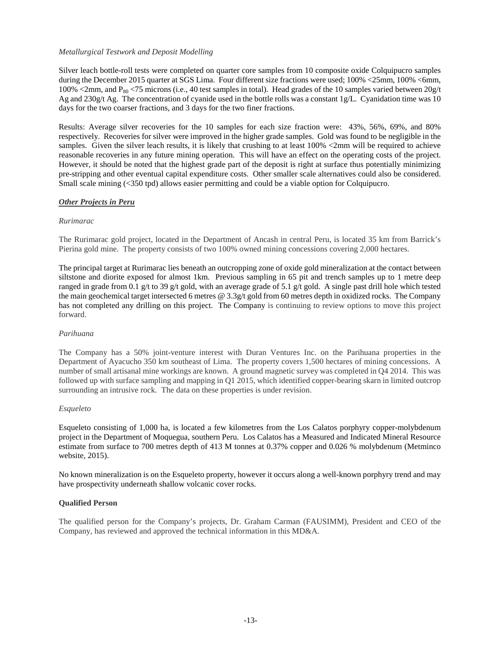## *Metallurgical Testwork and Deposit Modelling*

Silver leach bottle-roll tests were completed on quarter core samples from 10 composite oxide Colquipucro samples during the December 2015 quarter at SGS Lima. Four different size fractions were used; 100% <25mm, 100% <6mm, 100% <2mm, and  $P_{80}$  <75 microns (i.e., 40 test samples in total). Head grades of the 10 samples varied between 20g/t Ag and  $230g/t$  Ag. The concentration of cyanide used in the bottle rolls was a constant 1g/L. Cyanidation time was 10 days for the two coarser fractions, and 3 days for the two finer fractions.

Results: Average silver recoveries for the 10 samples for each size fraction were: 43%, 56%, 69%, and 80% respectively. Recoveries for silver were improved in the higher grade samples. Gold was found to be negligible in the samples. Given the silver leach results, it is likely that crushing to at least  $100\%$  <2mm will be required to achieve reasonable recoveries in any future mining operation. This will have an effect on the operating costs of the project. However, it should be noted that the highest grade part of the deposit is right at surface thus potentially minimizing pre-stripping and other eventual capital expenditure costs. Other smaller scale alternatives could also be considered. Small scale mining (<350 tpd) allows easier permitting and could be a viable option for Colquipucro.

## *Other Projects in Peru*

## *Rurimarac*

The Rurimarac gold project, located in the Department of Ancash in central Peru, is located 35 km from Barrick's Pierina gold mine. The property consists of two 100% owned mining concessions covering 2,000 hectares.

The principal target at Rurimarac lies beneath an outcropping zone of oxide gold mineralization at the contact between siltstone and diorite exposed for almost 1km. Previous sampling in 65 pit and trench samples up to 1 metre deep ranged in grade from 0.1 g/t to 39 g/t gold, with an average grade of 5.1 g/t gold. A single past drill hole which tested the main geochemical target intersected 6 metres @ 3.3g/t gold from 60 metres depth in oxidized rocks. The Company has not completed any drilling on this project. The Company is continuing to review options to move this project forward.

## *Parihuana*

The Company has a 50% joint-venture interest with Duran Ventures Inc. on the Parihuana properties in the Department of Ayacucho 350 km southeast of Lima. The property covers 1,500 hectares of mining concessions. A number of small artisanal mine workings are known. A ground magnetic survey was completed in Q4 2014. This was followed up with surface sampling and mapping in Q1 2015, which identified copper-bearing skarn in limited outcrop surrounding an intrusive rock. The data on these properties is under revision.

## *Esqueleto*

Esqueleto consisting of 1,000 ha, is located a few kilometres from the Los Calatos porphyry copper-molybdenum project in the Department of Moquegua, southern Peru. Los Calatos has a Measured and Indicated Mineral Resource estimate from surface to 700 metres depth of 413 M tonnes at 0.37% copper and 0.026 % molybdenum (Metminco website, 2015).

No known mineralization is on the Esqueleto property, however it occurs along a well-known porphyry trend and may have prospectivity underneath shallow volcanic cover rocks.

## **Qualified Person**

The qualified person for the Company's projects, Dr. Graham Carman (FAUSIMM), President and CEO of the Company, has reviewed and approved the technical information in this MD&A.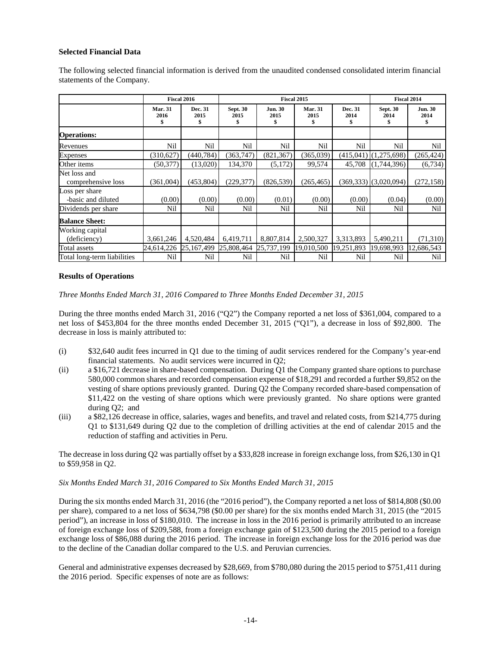## **Selected Financial Data**

The following selected financial information is derived from the unaudited condensed consolidated interim financial statements of the Company.

|                                      |                              | Fiscal 2016          |                              |                              | Fiscal 2015                  |                       |                           | Fiscal 2014                  |
|--------------------------------------|------------------------------|----------------------|------------------------------|------------------------------|------------------------------|-----------------------|---------------------------|------------------------------|
|                                      | <b>Mar. 31</b><br>2016<br>\$ | Dec. 31<br>2015<br>S | <b>Sept. 30</b><br>2015<br>S | <b>Jun. 30</b><br>2015<br>\$ | <b>Mar. 31</b><br>2015<br>\$ | Dec. 31<br>2014<br>\$ | <b>Sept. 30</b><br>2014   | <b>Jun. 30</b><br>2014<br>\$ |
| <b>Operations:</b>                   |                              |                      |                              |                              |                              |                       |                           |                              |
| Revenues                             | Nil                          | Nil                  | Nil                          | Nil                          | Nil                          | Nil                   | Nil                       | Nil                          |
| <b>Expenses</b>                      | (310,627)                    | (440, 784)           | (363, 747)                   | (821, 367)                   | (365,039)                    | (415,041)             | (1,275,698)               | (265, 424)                   |
| Other items                          | (50, 377)                    | (13,020)             | 134,370                      | (5,172)                      | 99,574                       | 45,708                | (1,744,396)               | (6,734)                      |
| Net loss and<br>comprehensive loss   | (361,004)                    | (453, 804)           | (229, 377)                   | (826, 539)                   | (265, 465)                   |                       | $(369,333)$ $(3,020,094)$ | (272, 158)                   |
| Loss per share<br>-basic and diluted | (0.00)                       | (0.00)               | (0.00)                       | (0.01)                       | (0.00)                       | (0.00)                | (0.04)                    | (0.00)                       |
| Dividends per share                  | Nil                          | Nil                  | Nil                          | Nil                          | Nil                          | Nil                   | Nil                       | Nil                          |
| <b>Balance Sheet:</b>                |                              |                      |                              |                              |                              |                       |                           |                              |
| Working capital                      |                              |                      |                              |                              |                              |                       |                           |                              |
| (deficiency)                         | 3,661,246                    | 4,520,484            | 6,419,711                    | 8,807,814                    | 2,500,327                    | 3,313,893             | 5,490,211                 | (71,310)                     |
| Total assets                         | 24,614,226                   | 25,167,499           | 25,808,464                   | 25,737,199                   | 19,010,500                   | 19,251,893            | 19,698,993                | 12,686,543                   |
| Total long-term liabilities          | Nil                          | Nil                  | Nil                          | Nil                          | Nil                          | Nil                   | Nil                       | Nil                          |

## **Results of Operations**

*Three Months Ended March 31, 2016 Compared to Three Months Ended December 31, 2015*

During the three months ended March 31, 2016 ("Q2") the Company reported a net loss of \$361,004, compared to a net loss of \$453,804 for the three months ended December 31, 2015 ("Q1"), a decrease in loss of \$92,800. The decrease in loss is mainly attributed to:

- (i) \$32,640 audit fees incurred in Q1 due to the timing of audit services rendered for the Company's year-end financial statements. No audit services were incurred in Q2;
- (ii) a \$16,721 decrease in share-based compensation. During Q1 the Company granted share options to purchase 580,000 common shares and recorded compensation expense of \$18,291 and recorded a further \$9,852 on the vesting of share options previously granted. During Q2 the Company recorded share-based compensation of \$11,422 on the vesting of share options which were previously granted. No share options were granted during Q2; and
- (iii) a \$82,126 decrease in office, salaries, wages and benefits, and travel and related costs, from \$214,775 during Q1 to \$131,649 during Q2 due to the completion of drilling activities at the end of calendar 2015 and the reduction of staffing and activities in Peru.

The decrease in loss during Q2 was partially offset by a \$33,828 increase in foreign exchange loss, from \$26,130 in Q1 to \$59,958 in Q2.

## *Six Months Ended March 31, 2016 Compared to Six Months Ended March 31, 2015*

During the six months ended March 31, 2016 (the "2016 period"), the Company reported a net loss of \$814,808 (\$0.00 per share), compared to a net loss of \$634,798 (\$0.00 per share) for the six months ended March 31, 2015 (the "2015 period"), an increase in loss of \$180,010. The increase in loss in the 2016 period is primarily attributed to an increase of foreign exchange loss of \$209,588, from a foreign exchange gain of \$123,500 during the 2015 period to a foreign exchange loss of \$86,088 during the 2016 period. The increase in foreign exchange loss for the 2016 period was due to the decline of the Canadian dollar compared to the U.S. and Peruvian currencies.

General and administrative expenses decreased by \$28,669, from \$780,080 during the 2015 period to \$751,411 during the 2016 period. Specific expenses of note are as follows: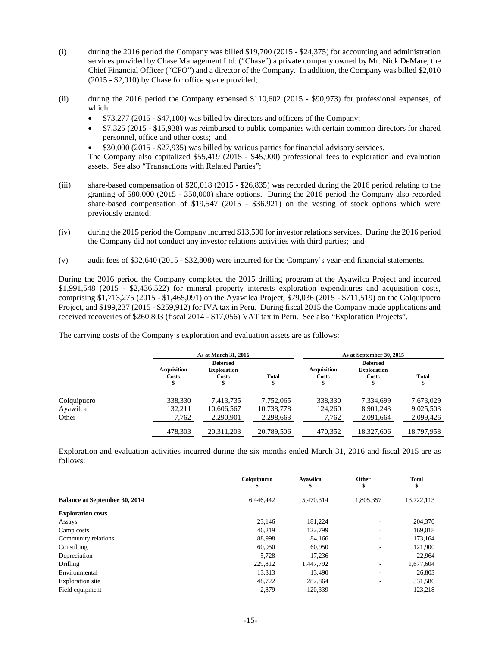- (i) during the 2016 period the Company was billed \$19,700 (2015 \$24,375) for accounting and administration services provided by Chase Management Ltd. ("Chase") a private company owned by Mr. Nick DeMare, the Chief Financial Officer ("CFO") and a director of the Company. In addition, the Company was billed \$2,010 (2015 - \$2,010) by Chase for office space provided;
- (ii) during the 2016 period the Company expensed \$110,602 (2015 \$90,973) for professional expenses, of which:
	- $$73,277$  (2015 \$47,100) was billed by directors and officers of the Company;
	- \$7,325 (2015 \$15,938) was reimbursed to public companies with certain common directors for shared personnel, office and other costs; and
	- \$30,000 (2015 \$27,935) was billed by various parties for financial advisory services.

The Company also capitalized \$55,419 (2015 - \$45,900) professional fees to exploration and evaluation assets. See also "Transactions with Related Parties";

- (iii) share-based compensation of \$20,018 (2015 \$26,835) was recorded during the 2016 period relating to the granting of 580,000 (2015 - 350,000) share options. During the 2016 period the Company also recorded share-based compensation of \$19,547 (2015 - \$36,921) on the vesting of stock options which were previously granted;
- (iv) during the 2015 period the Company incurred \$13,500 for investor relations services. During the 2016 period the Company did not conduct any investor relations activities with third parties; and
- (v) audit fees of \$32,640 (2015 \$32,808) were incurred for the Company's year-end financial statements.

During the 2016 period the Company completed the 2015 drilling program at the Ayawilca Project and incurred \$1,991,548 (2015 - \$2,436,522) for mineral property interests exploration expenditures and acquisition costs, comprising \$1,713,275 (2015 - \$1,465,091) on the Ayawilca Project, \$79,036 (2015 - \$711,519) on the Colquipucro Project, and \$199,237 (2015 - \$259,912) for IVA tax in Peru. During fiscal 2015 the Company made applications and received recoveries of \$260,803 (fiscal 2014 - \$17,056) VAT tax in Peru. See also "Exploration Projects".

The carrying costs of the Company's exploration and evaluation assets are as follows:

|             |                            | As at March 31, 2016                           |            |                                  | As at September 30, 2015                       |                   |
|-------------|----------------------------|------------------------------------------------|------------|----------------------------------|------------------------------------------------|-------------------|
|             | Acquisition<br>Costs<br>\$ | <b>Deferred</b><br><b>Exploration</b><br>Costs | Total      | <b>Acquisition</b><br>Costs<br>Φ | <b>Deferred</b><br><b>Exploration</b><br>Costs | <b>Total</b><br>Φ |
| Colquipucro | 338,330                    | 7,413,735                                      | 7.752.065  | 338,330                          | 7.334,699                                      | 7,673,029         |
| Ayawilca    | 132,211                    | 10,606,567                                     | 10,738,778 | 124,260                          | 8.901.243                                      | 9,025,503         |
| Other       | 7,762                      | 2,290,901                                      | 2,298,663  | 7,762                            | 2,091,664                                      | 2,099,426         |
|             | 478,303                    | 20,311,203                                     | 20,789,506 | 470.352                          | 18,327,606                                     | 18,797,958        |

Exploration and evaluation activities incurred during the six months ended March 31, 2016 and fiscal 2015 are as follows:

|                                      | Colquipucro<br>ъ | Avawilca<br>а | Other<br>\$              | <b>Total</b><br>\$ |
|--------------------------------------|------------------|---------------|--------------------------|--------------------|
| <b>Balance at September 30, 2014</b> | 6,446,442        | 5,470,314     | 1,805,357                | 13,722,113         |
| <b>Exploration costs</b>             |                  |               |                          |                    |
| Assays                               | 23.146           | 181.224       | $\overline{\phantom{a}}$ | 204,370            |
| Camp costs                           | 46,219           | 122,799       | $\overline{\phantom{a}}$ | 169,018            |
| Community relations                  | 88,998           | 84,166        | $\overline{\phantom{a}}$ | 173,164            |
| Consulting                           | 60,950           | 60,950        |                          | 121,900            |
| Depreciation                         | 5,728            | 17,236        | $\overline{\phantom{a}}$ | 22,964             |
| <b>Drilling</b>                      | 229,812          | 1,447,792     | ٠                        | 1,677,604          |
| Environmental                        | 13,313           | 13.490        |                          | 26,803             |
| Exploration site                     | 48,722           | 282,864       | $\overline{\phantom{a}}$ | 331,586            |
| Field equipment                      | 2,879            | 120,339       |                          | 123,218            |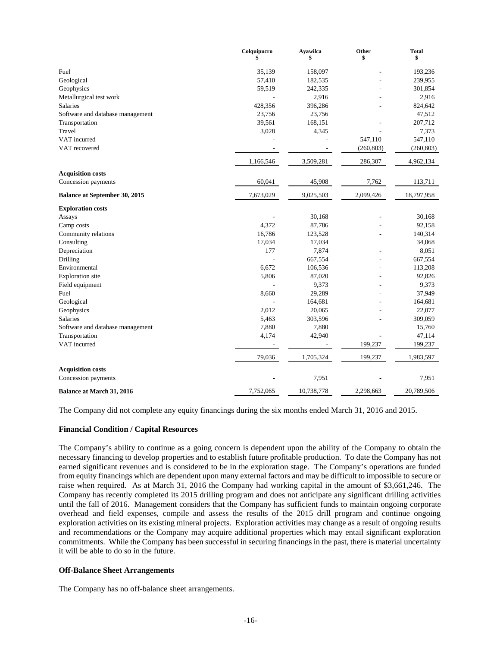|                                      | Colquipucro<br>\$ | Ayawilca<br>\$ | Other<br>\$ | <b>Total</b><br>\$ |
|--------------------------------------|-------------------|----------------|-------------|--------------------|
| Fuel                                 | 35,139            | 158,097        |             | 193,236            |
| Geological                           | 57,410            | 182,535        |             | 239,955            |
| Geophysics                           | 59,519            | 242,335        |             | 301,854            |
| Metallurgical test work              |                   | 2,916          |             | 2,916              |
| <b>Salaries</b>                      | 428,356           | 396,286        |             | 824,642            |
| Software and database management     | 23,756            | 23,756         |             | 47,512             |
| Transportation                       | 39,561            | 168,151        |             | 207,712            |
| Travel                               | 3,028             | 4,345          |             | 7,373              |
| VAT incurred                         |                   |                | 547,110     | 547,110            |
| VAT recovered                        |                   |                | (260, 803)  | (260, 803)         |
|                                      | 1,166,546         | 3,509,281      | 286,307     | 4,962,134          |
| <b>Acquisition costs</b>             |                   |                |             |                    |
| Concession payments                  | 60,041            | 45,908         | 7,762       | 113,711            |
| <b>Balance at September 30, 2015</b> | 7,673,029         | 9,025,503      | 2,099,426   | 18,797,958         |
| <b>Exploration costs</b>             |                   |                |             |                    |
| Assays                               |                   | 30,168         |             | 30,168             |
| Camp costs                           | 4,372             | 87,786         |             | 92,158             |
| Community relations                  | 16,786            | 123,528        |             | 140,314            |
| Consulting                           | 17,034            | 17,034         |             | 34,068             |
| Depreciation                         | 177               | 7,874          |             | 8,051              |
| Drilling                             |                   | 667,554        |             | 667,554            |
| Environmental                        | 6,672             | 106,536        |             | 113,208            |
| <b>Exploration</b> site              | 5,806             | 87,020         |             | 92,826             |
| Field equipment                      |                   | 9,373          |             | 9,373              |
| Fuel                                 | 8,660             | 29,289         |             | 37,949             |
| Geological                           |                   | 164,681        |             | 164,681            |
| Geophysics                           | 2,012             | 20,065         |             | 22,077             |
| Salaries                             | 5,463             | 303,596        |             | 309,059            |
| Software and database management     | 7,880             | 7,880          |             | 15,760             |
| Transportation                       | 4,174             | 42,940         |             | 47,114             |
| VAT incurred                         |                   |                | 199,237     | 199,237            |
|                                      | 79,036            | 1,705,324      | 199,237     | 1,983,597          |
| <b>Acquisition costs</b>             |                   |                |             |                    |
| Concession payments                  |                   | 7,951          |             | 7,951              |
| <b>Balance at March 31, 2016</b>     | 7,752,065         | 10,738,778     | 2,298,663   | 20,789,506         |

The Company did not complete any equity financings during the six months ended March 31, 2016 and 2015.

## **Financial Condition / Capital Resources**

The Company's ability to continue as a going concern is dependent upon the ability of the Company to obtain the necessary financing to develop properties and to establish future profitable production. To date the Company has not earned significant revenues and is considered to be in the exploration stage. The Company's operations are funded from equity financings which are dependent upon many external factors and may be difficult to impossible to secure or raise when required. As at March 31, 2016 the Company had working capital in the amount of \$3,661,246. The Company has recently completed its 2015 drilling program and does not anticipate any significant drilling activities until the fall of 2016. Management considers that the Company has sufficient funds to maintain ongoing corporate overhead and field expenses, compile and assess the results of the 2015 drill program and continue ongoing exploration activities on its existing mineral projects. Exploration activities may change as a result of ongoing results and recommendations or the Company may acquire additional properties which may entail significant exploration commitments. While the Company has been successful in securing financings in the past, there is material uncertainty it will be able to do so in the future.

## **Off-Balance Sheet Arrangements**

The Company has no off-balance sheet arrangements.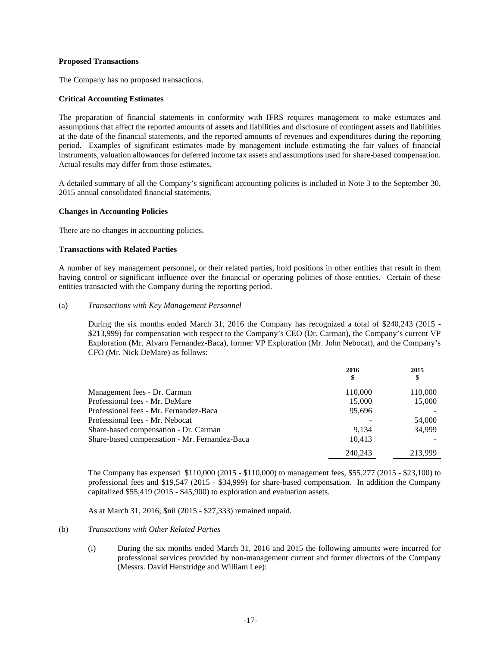## **Proposed Transactions**

The Company has no proposed transactions.

## **Critical Accounting Estimates**

The preparation of financial statements in conformity with IFRS requires management to make estimates and assumptions that affect the reported amounts of assets and liabilities and disclosure of contingent assets and liabilities at the date of the financial statements, and the reported amounts of revenues and expenditures during the reporting period. Examples of significant estimates made by management include estimating the fair values of financial instruments, valuation allowances for deferred income tax assets and assumptions used for share-based compensation. Actual results may differ from those estimates.

A detailed summary of all the Company's significant accounting policies is included in Note 3 to the September 30, 2015 annual consolidated financial statements.

## **Changes in Accounting Policies**

There are no changes in accounting policies.

## **Transactions with Related Parties**

A number of key management personnel, or their related parties, hold positions in other entities that result in them having control or significant influence over the financial or operating policies of those entities. Certain of these entities transacted with the Company during the reporting period.

#### (a) *Transactions with Key Management Personnel*

During the six months ended March 31, 2016 the Company has recognized a total of \$240,243 (2015 - \$213,999) for compensation with respect to the Company's CEO (Dr. Carman), the Company's current VP Exploration (Mr. Alvaro Fernandez-Baca), former VP Exploration (Mr. John Nebocat), and the Company's CFO (Mr. Nick DeMare) as follows:

|                                               | 2016<br>\$ | 2015<br>\$ |
|-----------------------------------------------|------------|------------|
| Management fees - Dr. Carman                  | 110,000    | 110,000    |
| Professional fees - Mr. DeMare                | 15,000     | 15,000     |
| Professional fees - Mr. Fernandez-Baca        | 95.696     |            |
| Professional fees - Mr. Nebocat               |            | 54,000     |
| Share-based compensation - Dr. Carman         | 9.134      | 34,999     |
| Share-based compensation - Mr. Fernandez-Baca | 10,413     |            |
|                                               | 240.243    | 213.999    |

The Company has expensed \$110,000 (2015 - \$110,000) to management fees, \$55,277 (2015 - \$23,100) to professional fees and \$19,547 (2015 - \$34,999) for share-based compensation. In addition the Company capitalized \$55,419 (2015 - \$45,900) to exploration and evaluation assets.

As at March 31, 2016, \$nil (2015 - \$27,333) remained unpaid.

## (b) *Transactions with Other Related Parties*

(i) During the six months ended March 31, 2016 and 2015 the following amounts were incurred for professional services provided by non-management current and former directors of the Company (Messrs. David Henstridge and William Lee):